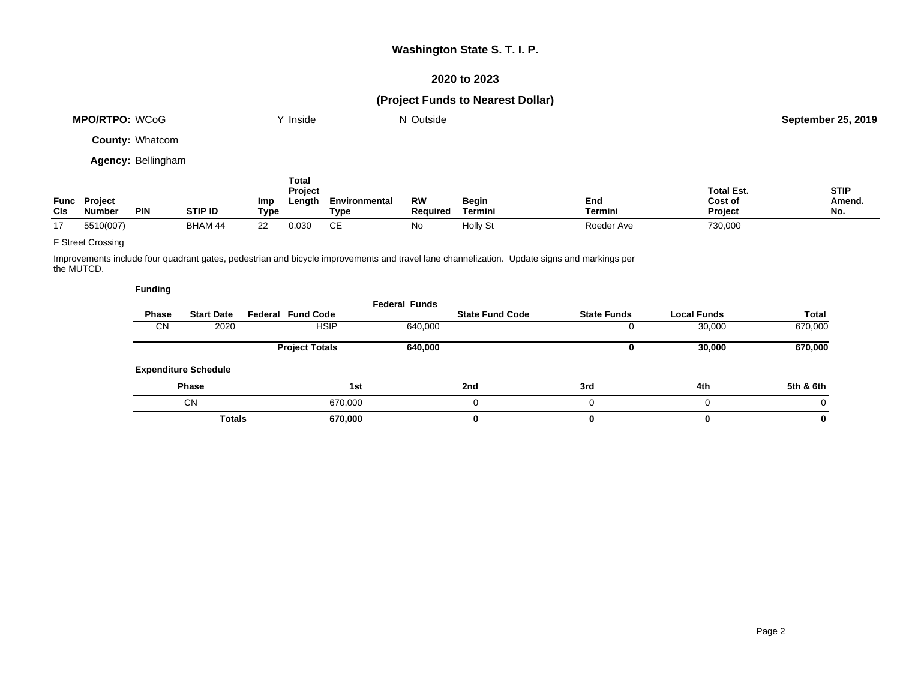### **2020 to 2023**

# **(Project Funds to Nearest Dollar)**

| MPO/RTPO: WCoG            | Y Inside | N Outside | <b>September 25, 2019</b> |
|---------------------------|----------|-----------|---------------------------|
| <b>County: Whatcom</b>    |          |           |                           |
| <b>Agency: Bellingham</b> |          |           |                           |
|                           | Total    |           |                           |

| <b>Func</b> | <b>Project</b>              |                | Imp  | Project<br>∟ength | Environmenta | RW       | Begin    | End        | Total Est.<br>Cost of | <b>STIP</b><br>Amend. |
|-------------|-----------------------------|----------------|------|-------------------|--------------|----------|----------|------------|-----------------------|-----------------------|
| <b>CIs</b>  | <b>Number</b><br><b>PIN</b> | <b>STIP ID</b> | Tvpe |                   | ™урс         | Reauired | Termin.  | Termini    | <b>Project</b>        | No.                   |
| 47          | 5510(007                    | BHAM 44        | nn   | 0.03 <sup>c</sup> | ~-           | Nα       | Holly St | Roeder Ave | 730,000               |                       |

### F Street Crossing

Improvements include four quadrant gates, pedestrian and bicycle improvements and travel lane channelization. Update signs and markings per the MUTCD.

|              |                             |                          | <b>Federal Funds</b> |                        |                    |                    |              |
|--------------|-----------------------------|--------------------------|----------------------|------------------------|--------------------|--------------------|--------------|
| <b>Phase</b> | <b>Start Date</b>           | <b>Federal Fund Code</b> |                      | <b>State Fund Code</b> | <b>State Funds</b> | <b>Local Funds</b> | <b>Total</b> |
| CN           | 2020                        | <b>HSIP</b>              | 640,000              |                        |                    | 30,000             | 670,000      |
|              |                             | <b>Project Totals</b>    | 640,000              |                        | u                  | 30,000             | 670,000      |
|              | <b>Expenditure Schedule</b> |                          |                      |                        |                    |                    |              |
|              | <b>Phase</b>                |                          | 1st                  | 2nd                    | 3rd                | 4th                | 5th & 6th    |
|              | <b>CN</b>                   | 670,000                  |                      | u                      |                    | 0                  | $\Omega$     |
|              | <b>Totals</b>               | 670,000                  |                      | 0                      |                    | $\bf{0}$           | 0            |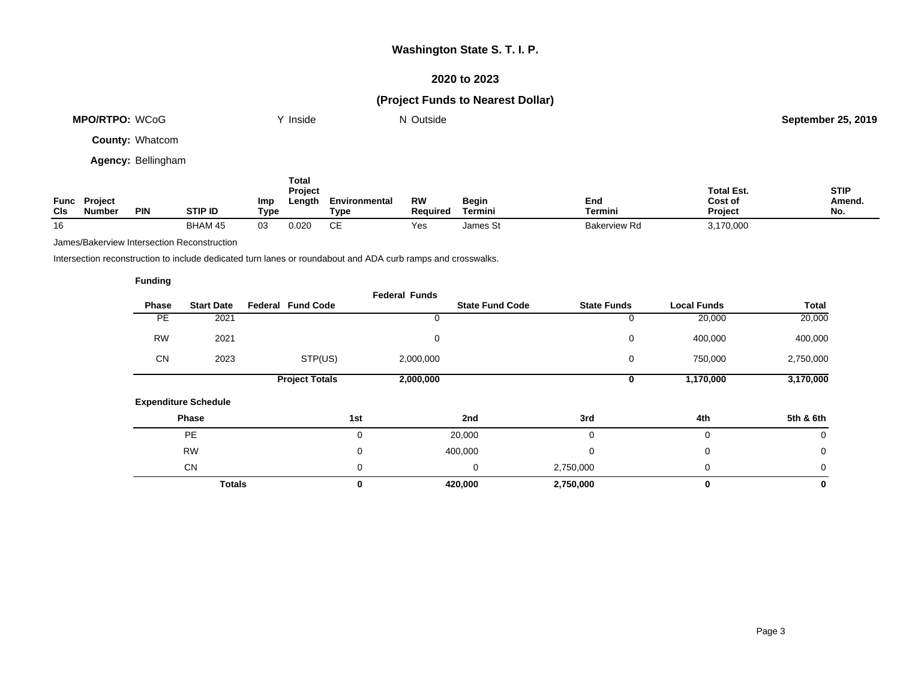### **2020 to 2023**

# **(Project Funds to Nearest Dollar)**

| <b>MPO/RTPO: WCoG</b>  | <sup>v</sup> Inside | N Outside | <b>September 25, 2019</b> |
|------------------------|---------------------|-----------|---------------------------|
| <b>County: Whatcom</b> |                     |           |                           |
| $   -$                 |                     |           |                           |

**Agency:** Bellingham

| CIs | <b>Func Project</b><br><b>Number</b> | <b>PIN</b> | <b>STIP ID</b> | Imp<br>Type | Total<br>Project<br>Length | Environmental<br>Type | RW<br>Reauired | <b>Begin</b><br>Termini | End<br>Termini      | <b>Total Est.</b><br>Cost of<br>Project | <b>STIP</b><br>Amend.<br>No. |
|-----|--------------------------------------|------------|----------------|-------------|----------------------------|-----------------------|----------------|-------------------------|---------------------|-----------------------------------------|------------------------------|
| 16  |                                      |            | BHAM 45        | 03          | 0.020                      | СE                    | Yes            | James St                | <b>Bakerview Rd</b> | 3,170,000                               |                              |

James/Bakerview Intersection Reconstruction

Intersection reconstruction to include dedicated turn lanes or roundabout and ADA curb ramps and crosswalks.

| <b>Phase</b> | <b>Start Date</b>           | <b>Federal Fund Code</b> | <b>Federal Funds</b> | <b>State Fund Code</b> | <b>State Funds</b> | <b>Local Funds</b> | Total     |
|--------------|-----------------------------|--------------------------|----------------------|------------------------|--------------------|--------------------|-----------|
|              |                             |                          |                      |                        |                    |                    |           |
| PE           | 2021                        |                          |                      |                        | 0                  | 20,000             | 20,000    |
| <b>RW</b>    | 2021                        |                          | $\mathbf 0$          |                        | 0                  | 400,000            | 400,000   |
| <b>CN</b>    | 2023                        | STP(US)                  | 2,000,000            |                        | 0                  | 750,000            | 2,750,000 |
|              |                             | <b>Project Totals</b>    | 2,000,000            |                        | 0                  | 1,170,000          | 3,170,000 |
|              | <b>Expenditure Schedule</b> |                          |                      |                        |                    |                    |           |
|              | Phase                       |                          | 1st                  | 2nd                    | 3rd                | 4th                | 5th & 6th |
|              | <b>PE</b>                   |                          | $\mathbf 0$          | 20,000                 | $\Omega$           | 0                  | 0         |
|              | <b>RW</b>                   |                          | 0                    | 400,000                | $\Omega$           | 0                  | 0         |
|              | <b>CN</b>                   |                          | 0                    | 0                      | 2,750,000          | 0                  | 0         |
|              | <b>Totals</b>               |                          | 0                    | 420,000                | 2,750,000          | 0                  | 0         |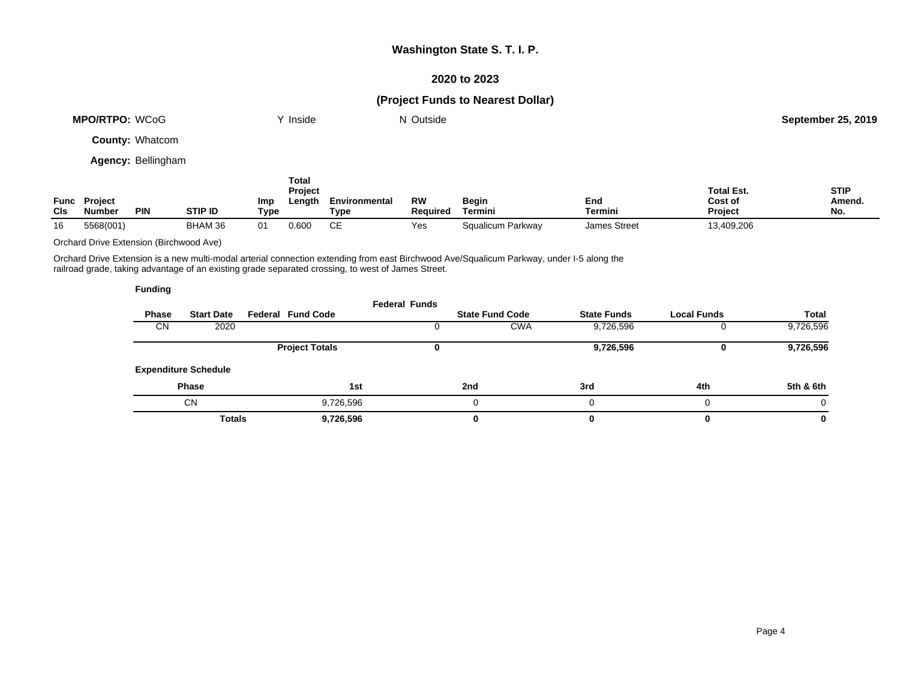### **2020 to 2023**

# **(Project Funds to Nearest Dollar)**

| MPO/RTPO: WCoG            | Y Inside | N Outside | <b>September 25, 2019</b> |
|---------------------------|----------|-----------|---------------------------|
| <b>County: Whatcom</b>    |          |           |                           |
| <b>Agency: Bellingham</b> |          |           |                           |
|                           | Total    |           |                           |

| Func<br>CIs | <b>Project</b><br><b>Number</b> | <b>PIN</b> | <b>STIP ID</b> | Imp<br>Type    | Project<br>Length | Environmental<br>туре | RW<br>Reauired | Begin<br>Termini  | End<br>Termini      | <b>Total Est.</b><br>Cost of<br><b>Project</b> | <b>STIP</b><br>Amend.<br>No. |
|-------------|---------------------------------|------------|----------------|----------------|-------------------|-----------------------|----------------|-------------------|---------------------|------------------------------------------------|------------------------------|
| 16          | 5568(001                        |            | BHAM 36        | 0 <sub>1</sub> | 0.600             | $\sim$<br>◡∟          | Yes            | Squalicum Parkway | <b>James Street</b> | 13,409,206                                     |                              |

Orchard Drive Extension (Birchwood Ave)

Orchard Drive Extension is a new multi-modal arterial connection extending from east Birchwood Ave/Squalicum Parkway, under I-5 along the railroad grade, taking advantage of an existing grade separated crossing, to west of James Street.

|              |                             |                          | <b>Federal Funds</b> |                        |                    |                    |           |
|--------------|-----------------------------|--------------------------|----------------------|------------------------|--------------------|--------------------|-----------|
| <b>Phase</b> | <b>Start Date</b>           | <b>Federal Fund Code</b> |                      | <b>State Fund Code</b> | <b>State Funds</b> | <b>Local Funds</b> | Total     |
| <b>CN</b>    | 2020                        |                          |                      | <b>CWA</b>             | 9,726,596          |                    | 9,726,596 |
|              |                             | <b>Project Totals</b>    |                      |                        | 9,726,596          |                    | 9,726,596 |
|              | <b>Expenditure Schedule</b> |                          |                      |                        |                    |                    |           |
|              | <b>Phase</b>                | 1st                      |                      | 2nd                    | 3rd                | 4th                | 5th & 6th |
|              | CN                          | 9,726,596                |                      |                        |                    | 0                  |           |
|              | <b>Totals</b>               | 9,726,596                |                      | 0                      |                    | 0                  | 0         |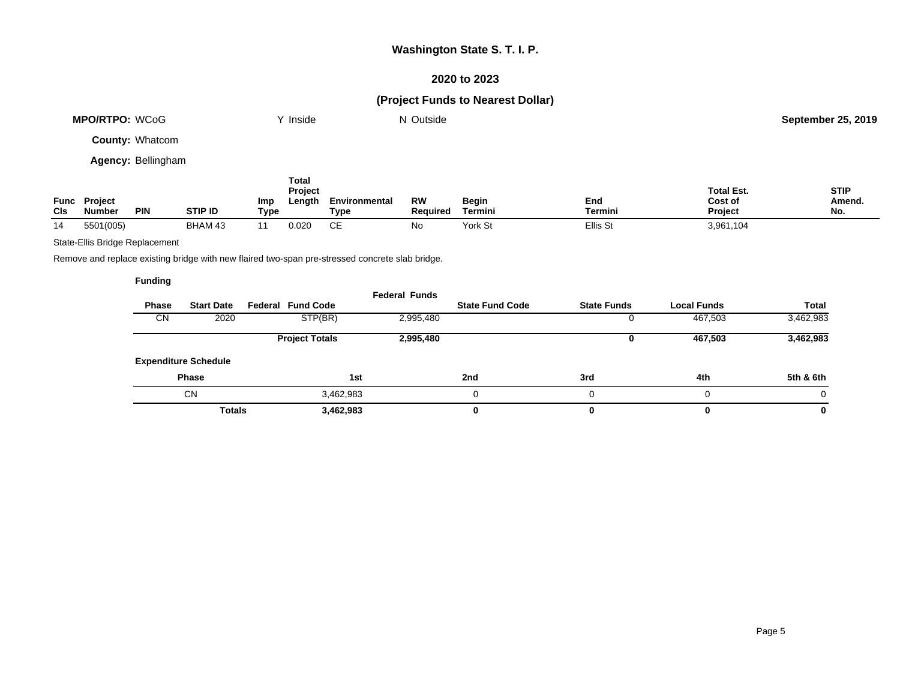### **2020 to 2023**

# **(Project Funds to Nearest Dollar)**

| MPO/RTPO: WCoG            | `' Inside | N Outside | <b>September 25, 2019</b> |
|---------------------------|-----------|-----------|---------------------------|
| <b>County: Whatcom</b>    |           |           |                           |
| <b>Agency: Bellingham</b> |           |           |                           |

| CIs | <b>Func Project</b><br>Number | <b>PIN</b> | <b>STIP ID</b> | Imp<br>Type | Total<br><b>Project</b><br>Length | Environmental<br>Type | RW<br><b>Required</b> | Begin<br>Termini | End<br>Termini | <b>Total Est.</b><br>Cost of<br><b>Project</b> | <b>STIP</b><br>Amend.<br>No. |
|-----|-------------------------------|------------|----------------|-------------|-----------------------------------|-----------------------|-----------------------|------------------|----------------|------------------------------------------------|------------------------------|
| 14  | 5501(005)                     |            | BHAM 43        |             | 0.020                             | CЕ                    | No                    | York St          | Ellis St       | 3,961,104                                      |                              |

### State-Ellis Bridge Replacement

Remove and replace existing bridge with new flaired two-span pre-stressed concrete slab bridge.

| <b>Phase</b> | <b>Start Date</b>           | Federal Fund Code     | <b>Federal Funds</b> | <b>State Fund Code</b> | <b>State Funds</b> | <b>Local Funds</b> | Total     |
|--------------|-----------------------------|-----------------------|----------------------|------------------------|--------------------|--------------------|-----------|
| CN           | 2020                        | STP(BR)               | 2,995,480            |                        |                    | 467,503            | 3,462,983 |
|              |                             | <b>Project Totals</b> | 2,995,480            |                        |                    | 467,503            | 3,462,983 |
|              | <b>Expenditure Schedule</b> |                       |                      |                        |                    |                    |           |
|              | <b>Phase</b>                | 1st                   |                      | 2nd                    | 3rd                | 4th                | 5th & 6th |
|              | <b>CN</b>                   | 3,462,983             |                      |                        | 0                  |                    | 0         |
|              | <b>Totals</b>               | 3,462,983             |                      | 0                      |                    |                    | 0         |
|              |                             |                       |                      |                        |                    |                    |           |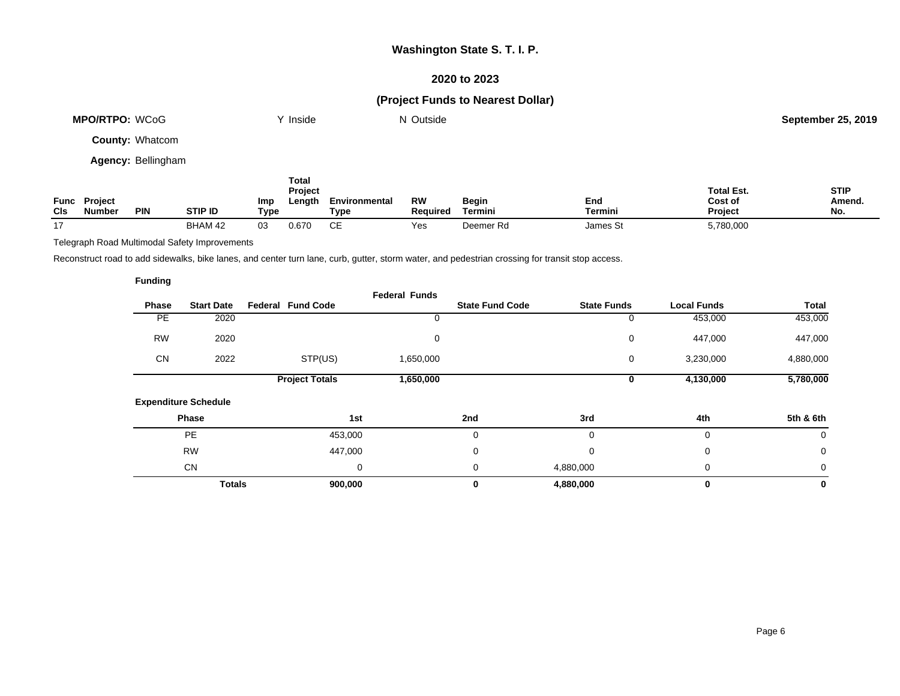### **2020 to 2023**

# **(Project Funds to Nearest Dollar)**

| <b>MPO/RTPO: WCoG</b>     | Y Inside | N Outside | <b>September 25, 2019</b> |
|---------------------------|----------|-----------|---------------------------|
| <b>County: Whatcom</b>    |          |           |                           |
| <b>Agency: Bellingham</b> |          |           |                           |

| Func<br>CIS | <b>Project</b><br><b>Number</b> | <b>PIN</b> | <b>STIP ID</b> | Imp<br>Type | Total<br>Project<br>Length | Environmental<br>Type | RW<br>Reauired | Begin<br>Termini | End<br><b>Termini</b> | <b>Total Est.</b><br>Cost of<br><b>Project</b> | <b>STIP</b><br>Amend.<br>No. |
|-------------|---------------------------------|------------|----------------|-------------|----------------------------|-----------------------|----------------|------------------|-----------------------|------------------------------------------------|------------------------------|
| 17          |                                 |            | BHAM 42        | 03          | 0.670                      | СE                    | Yes            | Deemer Rd        | James St              | 5,780,000                                      |                              |

Telegraph Road Multimodal Safety Improvements

Reconstruct road to add sidewalks, bike lanes, and center turn lane, curb, gutter, storm water, and pedestrian crossing for transit stop access.

| undina |
|--------|
|--------|

|           |                             |                          | <b>Federal Funds</b> |                        |                    |                    |             |
|-----------|-----------------------------|--------------------------|----------------------|------------------------|--------------------|--------------------|-------------|
| Phase     | <b>Start Date</b>           | <b>Federal Fund Code</b> |                      | <b>State Fund Code</b> | <b>State Funds</b> | <b>Local Funds</b> | Total       |
| <b>PE</b> | 2020                        |                          |                      |                        | 0                  | 453,000            | 453,000     |
| <b>RW</b> | 2020                        |                          | 0                    |                        | 0                  | 447,000            | 447,000     |
| <b>CN</b> | 2022                        | STP(US)                  | 1,650,000            |                        | 0                  | 3,230,000          | 4,880,000   |
|           |                             | <b>Project Totals</b>    | 1,650,000            |                        | 0                  | 4,130,000          | 5,780,000   |
|           | <b>Expenditure Schedule</b> |                          |                      |                        |                    |                    |             |
|           | Phase                       |                          | 1st                  | 2nd                    | 3rd                | 4th                | 5th & 6th   |
|           | <b>PE</b>                   | 453,000                  |                      | 0                      | 0                  | 0                  | 0           |
|           | <b>RW</b>                   | 447,000                  |                      | 0                      | $\Omega$           | 0                  | $\mathbf 0$ |
|           | <b>CN</b>                   |                          | 0                    | 0                      | 4,880,000          | 0                  | 0           |
|           | <b>Totals</b>               | 900,000                  |                      | 0                      | 4,880,000          | 0                  | 0           |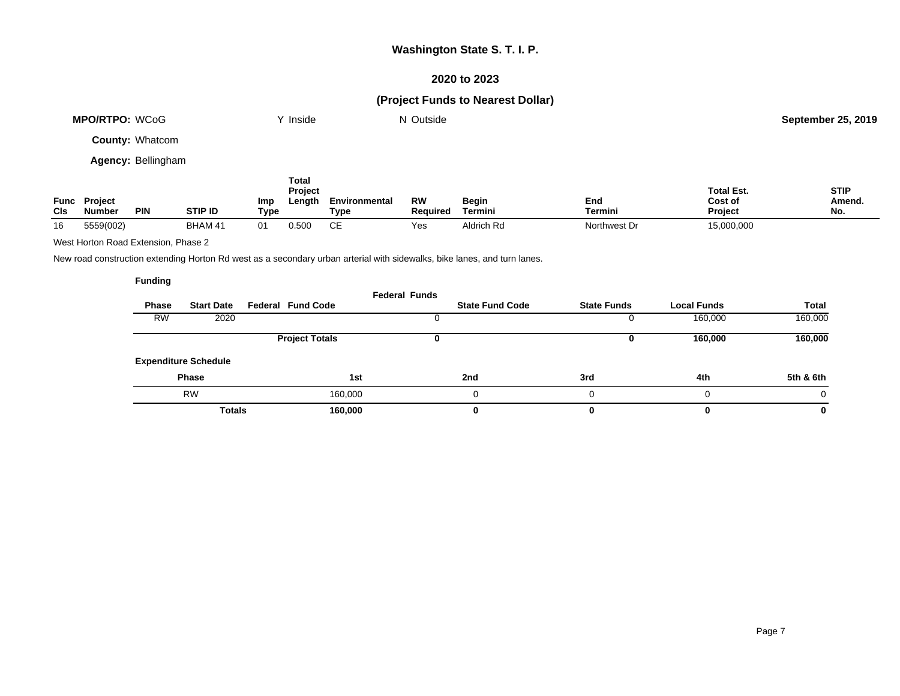### **2020 to 2023**

### **(Project Funds to Nearest Dollar)**

| <b>MPO/RTPO: WCoG</b>     | Y Inside | N Outside | <b>September 25, 2019</b> |
|---------------------------|----------|-----------|---------------------------|
| <b>County: Whatcom</b>    |          |           |                           |
| <b>Agency: Bellingham</b> |          |           |                           |

**Func Project Cls Number PIN STIP ID Imp Type Total Project Length Environmental Type RW Required Begin Termini End Termini Total Est. Cost of Project STIP Amend. No.** 16 5559(002) BHAM 41 01 0.500 CE Yes Aldrich Rd Northwest Dr 15,000,000

West Horton Road Extension, Phase 2

New road construction extending Horton Rd west as a secondary urban arterial with sidewalks, bike lanes, and turn lanes.

|           |                             |                          | <b>Federal Funds</b> |                        |                    |                    |              |
|-----------|-----------------------------|--------------------------|----------------------|------------------------|--------------------|--------------------|--------------|
| Phase     | <b>Start Date</b>           | <b>Federal Fund Code</b> |                      | <b>State Fund Code</b> | <b>State Funds</b> | <b>Local Funds</b> | <b>Total</b> |
| <b>RW</b> | 2020                        |                          |                      |                        |                    | 160,000            | 160,000      |
|           |                             | <b>Project Totals</b>    |                      |                        | U                  | 160,000            | 160,000      |
|           | <b>Expenditure Schedule</b> |                          |                      |                        |                    |                    |              |
|           | <b>Phase</b>                | 1st                      |                      | 2nd                    | 3rd                | 4th                | 5th & 6th    |
|           | <b>RW</b>                   | 160,000                  |                      |                        |                    | 0                  | 0            |
|           | <b>Totals</b>               | 160,000                  |                      | 0                      |                    | 0                  | 0            |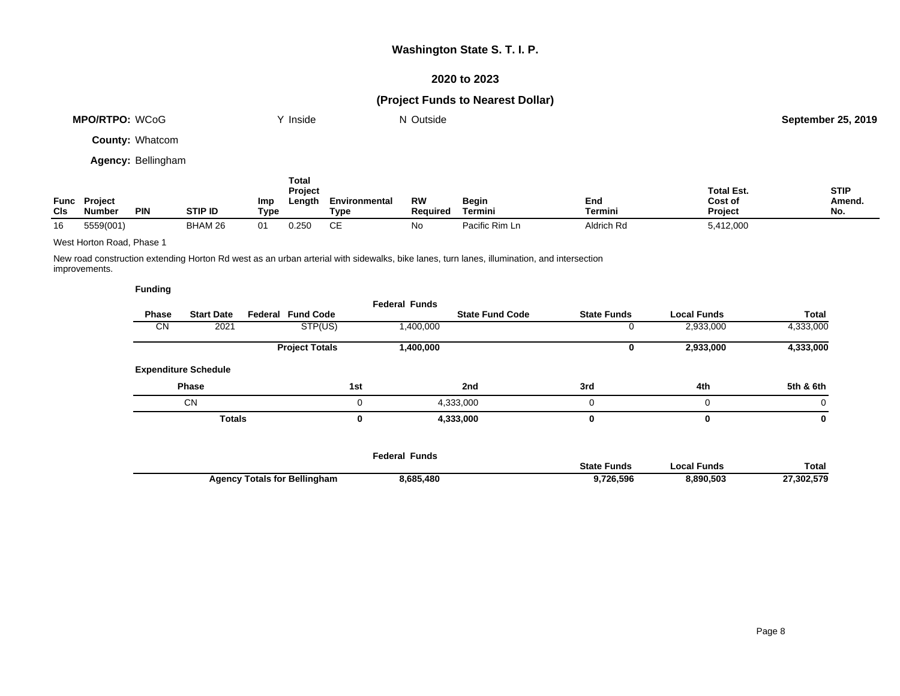### **2020 to 2023**

# **(Project Funds to Nearest Dollar)**

| <b>MPO/RTPO: WCoG</b>     | <sup>∨</sup> Inside | N Outside | <b>September 25, 2019</b> |
|---------------------------|---------------------|-----------|---------------------------|
| <b>County: Whatcom</b>    |                     |           |                           |
| <b>Agency: Bellingham</b> |                     |           |                           |

| CIS | <b>Func Project</b><br><b>Number</b><br><b>PIN</b> | <b>STIP ID</b> | Imp<br>Type | Total<br><b>Project</b><br>Length | Environmental<br>Type | RW<br><b>Required</b> | Begin<br>Termini | End<br>Termini | <b>Total Est.</b><br>Cost of<br><b>Project</b> | <b>STIP</b><br><b>Amend</b><br>No. |
|-----|----------------------------------------------------|----------------|-------------|-----------------------------------|-----------------------|-----------------------|------------------|----------------|------------------------------------------------|------------------------------------|
| 16  | 5559(001)                                          | BHAM 26        | 01          | 0.250                             | CЕ                    | No                    | Pacific Rim Ln   | Aldrich Rd     | 5,412,000                                      |                                    |

West Horton Road, Phase 1

New road construction extending Horton Rd west as an urban arterial with sidewalks, bike lanes, turn lanes, illumination, and intersection improvements.

|              |                    |                    |                        | <b>Federal Funds</b> |                          |                             |           |
|--------------|--------------------|--------------------|------------------------|----------------------|--------------------------|-----------------------------|-----------|
| <b>Total</b> | <b>Local Funds</b> | <b>State Funds</b> | <b>State Fund Code</b> |                      | <b>Federal Fund Code</b> | <b>Start Date</b>           | Phase     |
| 4,333,000    | 2,933,000          |                    |                        | 1,400,000            | STP(US)                  | 2021                        | <b>CN</b> |
| 4,333,000    | 2,933,000          |                    |                        | 1,400,000            | <b>Project Totals</b>    |                             |           |
|              |                    |                    |                        |                      |                          | <b>Expenditure Schedule</b> |           |
| 5th & 6th    | 4th                | 3rd                | 2nd                    | 1st                  |                          | <b>Phase</b>                |           |
| $\Omega$     | $\Omega$           | 0                  | 4,333,000              | 0                    |                          | CN                          |           |
| 0            | 0                  |                    | 4,333,000              | 0                    |                          | <b>Totals</b>               |           |

|                                     | <b>Federal Funds</b> |                    |             |              |
|-------------------------------------|----------------------|--------------------|-------------|--------------|
|                                     |                      | <b>State Funds</b> | Local Funds | <b>Total</b> |
| <b>Agency Totals for Bellingham</b> | 8,685,480            | 9,726,596          | 8,890,503   | 27,302,579   |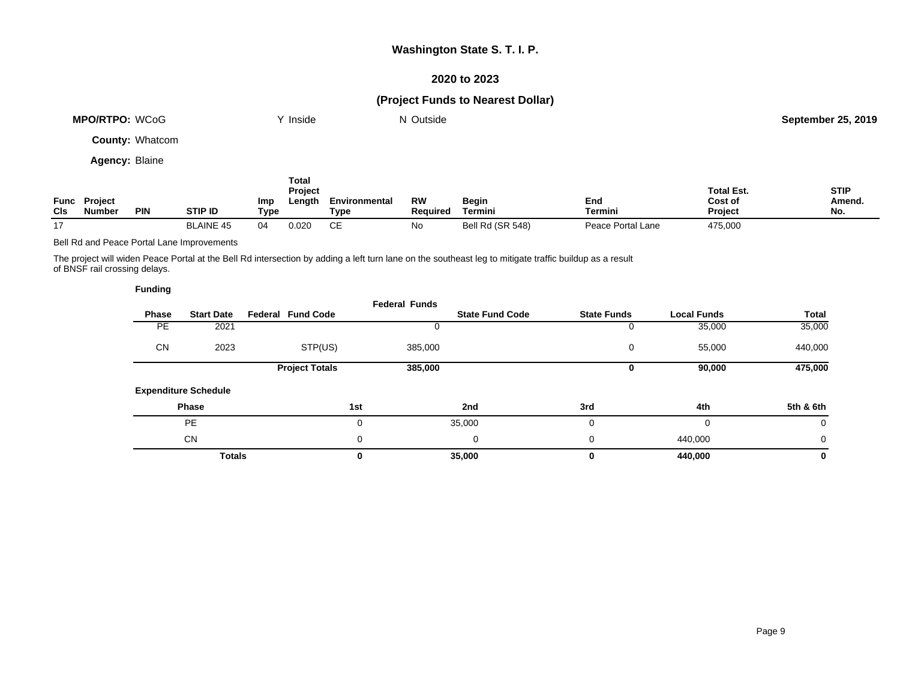### **2020 to 2023**

# **(Project Funds to Nearest Dollar)**

|                       | <b>MPO/RTPO: WCoG</b>                |                        |                | Inside                                                  |                              | N Outside             |                         |     |         |                                                | <b>September 25, 2019</b>    |
|-----------------------|--------------------------------------|------------------------|----------------|---------------------------------------------------------|------------------------------|-----------------------|-------------------------|-----|---------|------------------------------------------------|------------------------------|
|                       |                                      | <b>County: Whatcom</b> |                |                                                         |                              |                       |                         |     |         |                                                |                              |
| <b>Agency: Blaine</b> |                                      |                        |                |                                                         |                              |                       |                         |     |         |                                                |                              |
| <b>CIs</b>            | <b>Func Project</b><br><b>Number</b> | <b>PIN</b>             | <b>STIP ID</b> | <b>Total</b><br><b>Project</b><br>Imp<br>Length<br>Type | Environmental<br><b>Type</b> | <b>RW</b><br>Required | <b>Begin</b><br>Termini | End | Termini | <b>Total Est.</b><br>Cost of<br><b>Project</b> | <b>STIP</b><br>Amend.<br>No. |

Bell Rd and Peace Portal Lane Improvements

The project will widen Peace Portal at the Bell Rd intersection by adding a left turn lane on the southeast leg to mitigate traffic buildup as a result of BNSF rail crossing delays.

17 BLAINE 45 04 0.020 CE No Bell Rd (SR 548) Peace Portal Lane 475,000

| <b>Funding</b> |                             |                          |                      |                        |                    |                    |              |
|----------------|-----------------------------|--------------------------|----------------------|------------------------|--------------------|--------------------|--------------|
| Phase          | <b>Start Date</b>           | <b>Federal Fund Code</b> | <b>Federal Funds</b> | <b>State Fund Code</b> | <b>State Funds</b> | <b>Local Funds</b> | <b>Total</b> |
| <b>PE</b>      | 2021                        |                          |                      |                        | 0                  | 35,000             | 35,000       |
| <b>CN</b>      | 2023                        | STP(US)                  | 385,000              |                        | 0                  | 55,000             | 440,000      |
|                |                             | <b>Project Totals</b>    | 385,000              |                        | 0                  | 90,000             | 475,000      |
|                | <b>Expenditure Schedule</b> |                          |                      |                        |                    |                    |              |
|                | Phase                       |                          | 1st                  | 2nd                    | 3rd                | 4th                | 5th & 6th    |
|                | <b>PE</b>                   |                          | 0                    | 35,000                 | 0                  | 0                  | 0            |
|                | <b>CN</b>                   |                          | 0                    | 0                      | 0                  | 440,000            | 0            |
|                | <b>Totals</b>               |                          | 0                    | 35,000                 | 0                  | 440,000            | 0            |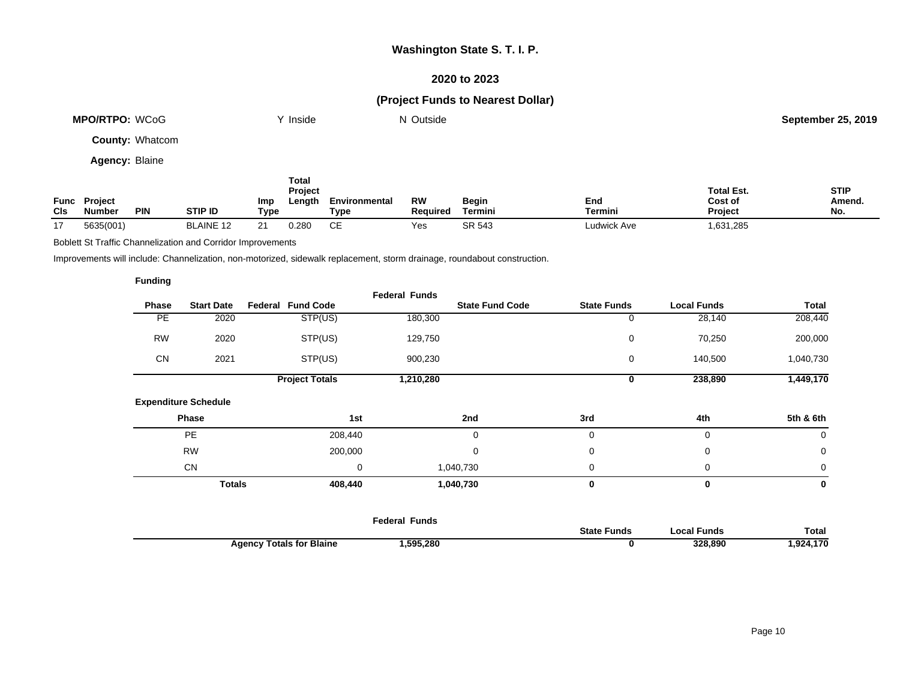### **2020 to 2023**

# **(Project Funds to Nearest Dollar)**

|     | <b>MPO/RTPO: WCoG</b>         |                        |                |                    | Inside                            |                       | N Outside                    |                         |                |                                                | <b>September 25, 2019</b>    |
|-----|-------------------------------|------------------------|----------------|--------------------|-----------------------------------|-----------------------|------------------------------|-------------------------|----------------|------------------------------------------------|------------------------------|
|     |                               | <b>County: Whatcom</b> |                |                    |                                   |                       |                              |                         |                |                                                |                              |
|     | <b>Agency: Blaine</b>         |                        |                |                    |                                   |                       |                              |                         |                |                                                |                              |
| CIs | Func Project<br><b>Number</b> | <b>PIN</b>             | <b>STIP ID</b> | <b>Imp</b><br>Type | Total<br><b>Project</b><br>Length | Environmental<br>Type | <b>RW</b><br><b>Required</b> | <b>Begin</b><br>Termini | End<br>Termini | <b>Total Est.</b><br>Cost of<br><b>Project</b> | <b>STIP</b><br>Amend.<br>No. |

17 5635(001) BLAINE 12 21 0.280 CE Yes SR 543 Ludwick Ave 1,631,285

Boblett St Traffic Channelization and Corridor Improvements

Improvements will include: Channelization, non-motorized, sidewalk replacement, storm drainage, roundabout construction.

|           |                             |                          | <b>Federal Funds</b> |                        |                    |                    |             |
|-----------|-----------------------------|--------------------------|----------------------|------------------------|--------------------|--------------------|-------------|
| Phase     | <b>Start Date</b>           | <b>Federal Fund Code</b> |                      | <b>State Fund Code</b> | <b>State Funds</b> | <b>Local Funds</b> | Total       |
| PE        | 2020                        | STP(US)                  | 180,300              |                        | 0                  | 28,140             | 208,440     |
| <b>RW</b> | 2020                        | STP(US)                  | 129,750              |                        | 0                  | 70,250             | 200,000     |
| <b>CN</b> | 2021                        | STP(US)                  | 900,230              |                        | 0                  | 140,500            | 1,040,730   |
|           |                             | <b>Project Totals</b>    | 1,210,280            |                        | 0                  | 238,890            | 1,449,170   |
|           | <b>Expenditure Schedule</b> |                          |                      |                        |                    |                    |             |
|           | Phase                       | 1st                      |                      | 2nd                    | 3rd                | 4th                | 5th & 6th   |
|           | <b>PE</b>                   | 208,440                  |                      | 0                      | 0                  | 0                  | 0           |
|           | <b>RW</b>                   | 200,000                  |                      | 0                      | 0                  | 0                  | 0           |
|           | CN                          |                          | 0                    | 1,040,730              | 0                  | 0                  | $\mathbf 0$ |
|           | <b>Totals</b>               | 408,440                  |                      | 1,040,730              | 0                  | 0                  | 0           |
|           |                             |                          |                      |                        |                    |                    |             |

|                                      | Federal Funds |                              |              |               |
|--------------------------------------|---------------|------------------------------|--------------|---------------|
|                                      |               | <b>State</b><br><b>Funds</b> | ` ocal Funds | Total         |
| <b>Totals for Blaine</b><br>Agency T | ,595,280      |                              | 328.890      | .4.170<br>924 |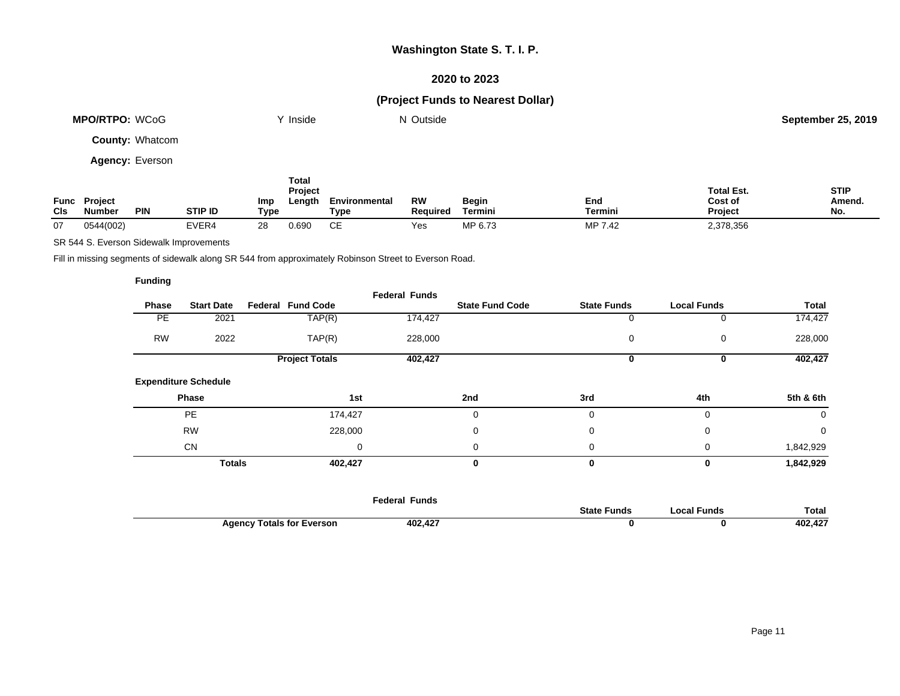### **2020 to 2023**

# **(Project Funds to Nearest Dollar)**

|     | <b>MPO/RTPO: WCoG</b>         |                        |                |             | Y Inside                          |                       | N Outside             |                         |                       |                                         | <b>September 25, 2019</b>    |
|-----|-------------------------------|------------------------|----------------|-------------|-----------------------------------|-----------------------|-----------------------|-------------------------|-----------------------|-----------------------------------------|------------------------------|
|     |                               | <b>County: Whatcom</b> |                |             |                                   |                       |                       |                         |                       |                                         |                              |
|     |                               | <b>Agency: Everson</b> |                |             |                                   |                       |                       |                         |                       |                                         |                              |
| CIs | Func Project<br><b>Number</b> | <b>PIN</b>             | <b>STIP ID</b> | Imp<br>Type | <b>Total</b><br>Project<br>Length | Environmental<br>Type | <b>RW</b><br>Required | <b>Begin</b><br>Termini | End<br><b>Termini</b> | <b>Total Est.</b><br>Cost of<br>Project | <b>STIP</b><br>Amend.<br>No. |
| 07  | 0544(002)                     |                        | EVER4          | 28          | 0.690                             | СE                    | Yes                   | MP 6.73                 | MP 7.42               | 2,378,356                               |                              |

SR 544 S. Everson Sidewalk Improvements

Fill in missing segments of sidewalk along SR 544 from approximately Robinson Street to Everson Road.

|           |                             |                          | <b>Federal Funds</b> |                        |                    |                    |              |
|-----------|-----------------------------|--------------------------|----------------------|------------------------|--------------------|--------------------|--------------|
| Phase     | <b>Start Date</b>           | <b>Federal Fund Code</b> |                      | <b>State Fund Code</b> | <b>State Funds</b> | <b>Local Funds</b> | <b>Total</b> |
| PE.       | 2021                        | TAP(R)                   | 174,427              |                        |                    | 0                  | 174,427      |
| <b>RW</b> | 2022                        | TAP(R)                   | 228,000              |                        | 0                  | 0                  | 228,000      |
|           |                             | <b>Project Totals</b>    | 402,427              |                        | 0                  | 0                  | 402,427      |
|           | <b>Expenditure Schedule</b> |                          |                      |                        |                    |                    |              |
|           | Phase                       | 1st                      |                      | 2nd                    | 3rd                | 4th                | 5th & 6th    |
|           | <b>PE</b>                   | 174,427                  |                      | $\mathbf 0$            | 0                  | 0                  | 0            |
|           | <b>RW</b>                   | 228,000                  |                      | $\mathbf 0$            | $\mathbf 0$        | 0                  | $\mathbf 0$  |
|           | <b>CN</b>                   |                          | 0                    | $\mathbf 0$            | $\Omega$           | 0                  | 1,842,929    |
|           | <b>Totals</b>               | 402,427                  |                      | 0                      | 0                  | 0                  | 1,842,929    |
|           |                             |                          |                      |                        |                    |                    |              |

|                                                  | Federal Funds |                    |             |              |
|--------------------------------------------------|---------------|--------------------|-------------|--------------|
|                                                  |               | <b>State Funds</b> | Local Funds | <b>Total</b> |
| <sup>,</sup> Totals for Everson<br><b>Agency</b> | 402.427       |                    |             | 402,427      |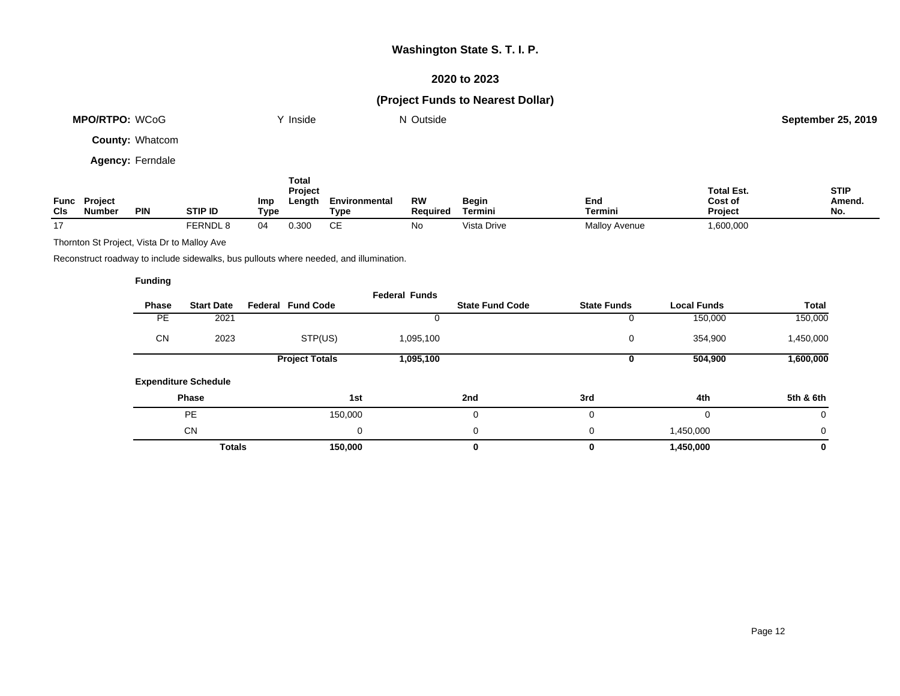### **2020 to 2023**

# **(Project Funds to Nearest Dollar)**

| MPO/RTPO: WCoG         | Y Inside                | N Outside |           | <b>September 25, 2019</b> |
|------------------------|-------------------------|-----------|-----------|---------------------------|
| <b>County: Whatcom</b> |                         |           |           |                           |
| Agency: Ferndale       |                         |           |           |                           |
|                        | Total<br><b>Drainet</b> |           | Total Est | <b>CTID</b>               |

| Func<br><b>CIs</b> | <b>Project</b><br><b>Number</b> | <b>PIN</b> | STIP ID  | Imp<br>Type | <b>Project</b><br>∟enath | Environmental<br>Type | <b>RW</b><br>Reauired | Begin<br>Termini | End<br>Termini | <b>Total Est.</b><br><b>Cost of</b><br><b>Project</b> | <b>STIP</b><br>Amend.<br>No. |
|--------------------|---------------------------------|------------|----------|-------------|--------------------------|-----------------------|-----------------------|------------------|----------------|-------------------------------------------------------|------------------------------|
|                    |                                 |            | FERNDL 8 |             | 0.300                    | ◡∟                    | No                    | Vista Drive      | Mallov Avenue  | 600,000,                                              |                              |

Thornton St Project, Vista Dr to Malloy Ave

Reconstruct roadway to include sidewalks, bus pullouts where needed, and illumination.

|              |                             |                          | <b>Federal Funds</b> |                        |                    |                    |           |
|--------------|-----------------------------|--------------------------|----------------------|------------------------|--------------------|--------------------|-----------|
| <b>Phase</b> | <b>Start Date</b>           | <b>Federal Fund Code</b> |                      | <b>State Fund Code</b> | <b>State Funds</b> | <b>Local Funds</b> | Total     |
| <b>PE</b>    | 2021                        |                          |                      |                        |                    | 150,000            | 150,000   |
| <b>CN</b>    | 2023                        | STP(US)                  | 1,095,100            |                        | 0                  | 354,900            | 1,450,000 |
|              |                             | <b>Project Totals</b>    | 1,095,100            |                        |                    | 504,900            | 1,600,000 |
|              | <b>Expenditure Schedule</b> |                          |                      |                        |                    |                    |           |
|              | Phase                       | 1st                      |                      | 2nd                    | 3rd                | 4th                | 5th & 6th |
|              | <b>PE</b>                   | 150,000                  |                      | 0                      | $\Omega$           | 0                  | 0         |
|              | <b>CN</b>                   | 0                        |                      | 0                      | $\Omega$           | 1,450,000          | 0         |
|              | <b>Totals</b>               | 150,000                  |                      | 0                      |                    | 1,450,000          | 0         |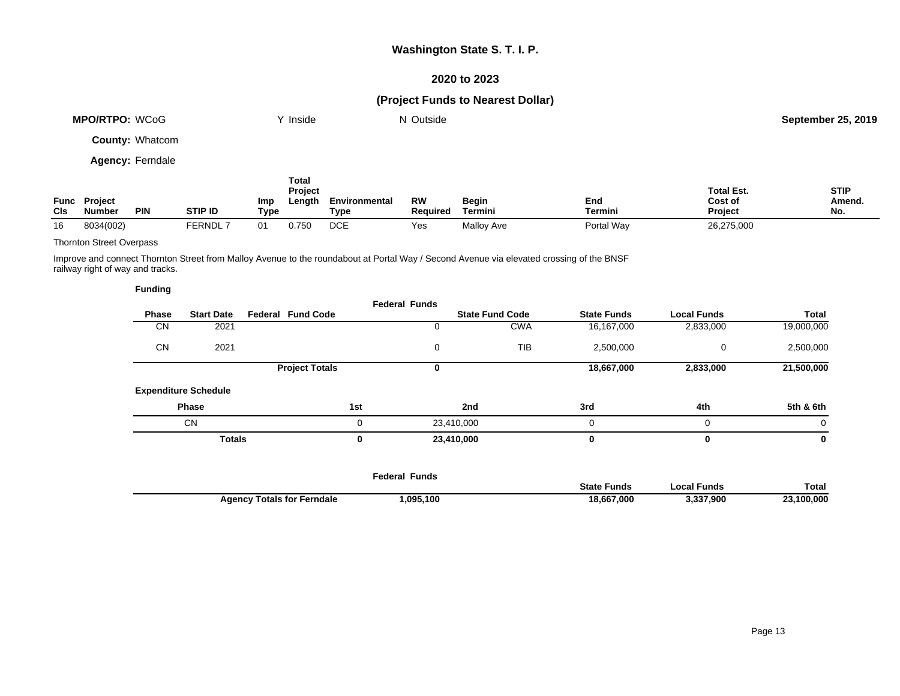### **2020 to 2023**

# **(Project Funds to Nearest Dollar)**

|             | <b>MPO/RTPO: WCoG</b>    |                         |                | Y Inside           |                            | N Outside             |                       |                         |                | <b>September 25, 2019</b>               |                              |
|-------------|--------------------------|-------------------------|----------------|--------------------|----------------------------|-----------------------|-----------------------|-------------------------|----------------|-----------------------------------------|------------------------------|
|             |                          | <b>County: Whatcom</b>  |                |                    |                            |                       |                       |                         |                |                                         |                              |
|             |                          | <b>Agency: Ferndale</b> |                |                    |                            |                       |                       |                         |                |                                         |                              |
| Func<br>CIs | <b>Project</b><br>Number | <b>PIN</b>              | <b>STIP ID</b> | Imp<br><b>Type</b> | Total<br>Project<br>Length | Environmental<br>Type | <b>RW</b><br>Required | <b>Begin</b><br>Termini | End<br>Termini | <b>Total Est.</b><br>Cost of<br>Project | <b>STIP</b><br>Amend.<br>No. |

### Thornton Street Overpass

Improve and connect Thornton Street from Malloy Avenue to the roundabout at Portal Way / Second Avenue via elevated crossing of the BNSF railway right of way and tracks.

16 8034(002) FERNDL 7 01 0.750 DCE Yes Malloy Ave Portal Way 26,275,000

| <b>Funding</b> |                             |                          |             |                      |                        |                    |                    |            |
|----------------|-----------------------------|--------------------------|-------------|----------------------|------------------------|--------------------|--------------------|------------|
| <b>Phase</b>   | <b>Start Date</b>           | <b>Federal Fund Code</b> |             | <b>Federal Funds</b> | <b>State Fund Code</b> | <b>State Funds</b> | <b>Local Funds</b> | Total      |
| CN             | 2021                        |                          |             |                      | <b>CWA</b>             | 16,167,000         | 2,833,000          | 19,000,000 |
| <b>CN</b>      | 2021                        |                          |             | 0                    | <b>TIB</b>             | 2,500,000          | 0                  | 2,500,000  |
|                |                             | <b>Project Totals</b>    |             | 0                    |                        | 18,667,000         | 2,833,000          | 21,500,000 |
|                | <b>Expenditure Schedule</b> |                          |             |                      |                        |                    |                    |            |
|                | <b>Phase</b>                |                          | 1st         |                      | 2nd                    | 3rd                | 4th                | 5th & 6th  |
|                | <b>CN</b>                   |                          | $\mathbf 0$ | 23,410,000           |                        | $\Omega$           | $\Omega$           | 0          |
|                | <b>Totals</b>               |                          | 0           | 23,410,000           |                        | 0                  | 0                  | 0          |
|                |                             |                          |             |                      |                        |                    |                    |            |

|                                   | Funds<br>-ederal |                |                  |         |
|-----------------------------------|------------------|----------------|------------------|---------|
|                                   |                  | State<br>Funds | ้ Funds<br>con l | Total   |
| <b>Agency Totals for Ferndale</b> | ,095,100         | 18.667.000     | .337.900         | 100.000 |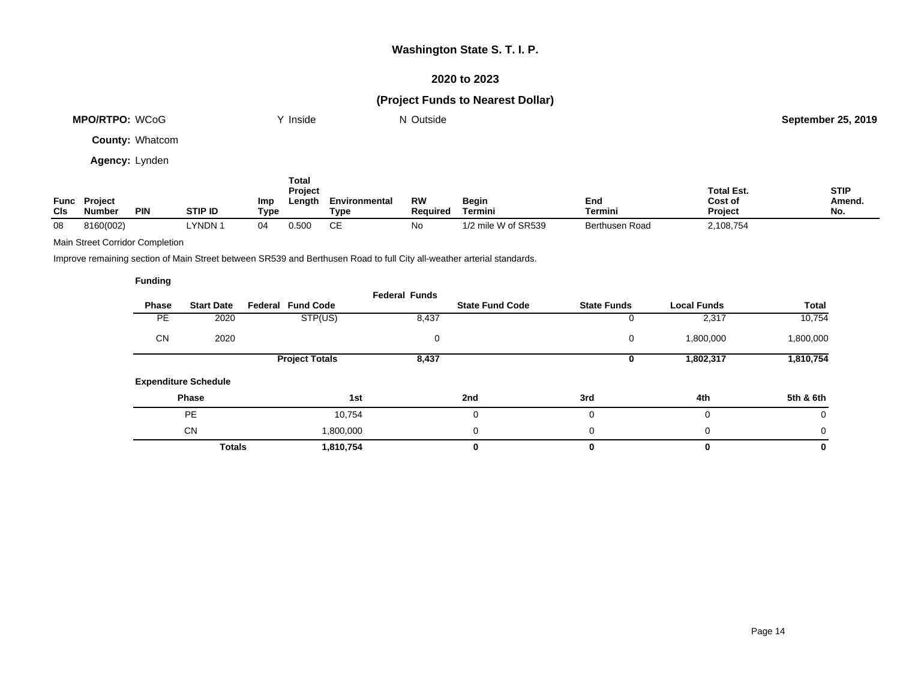### **2020 to 2023**

# **(Project Funds to Nearest Dollar)**

| <b>MPO/RTPO: WCoG</b>  | <sup>V</sup> Inside | N Outside | <b>September 25, 2019</b> |
|------------------------|---------------------|-----------|---------------------------|
| <b>County: Whatcom</b> |                     |           |                           |

**Agency:** Lynden

|             |                                 |            |                |                    | Total<br>Project |                       |                       |                     |                | <b>Total Est.</b>         | <b>STIP</b>   |
|-------------|---------------------------------|------------|----------------|--------------------|------------------|-----------------------|-----------------------|---------------------|----------------|---------------------------|---------------|
| Func<br>CIS | <b>Project</b><br><b>Number</b> | <b>PIN</b> | <b>STIP ID</b> | <b>Imp</b><br>Type | Length           | Environmental<br>Туре | RW<br><b>Required</b> | Begin<br>Termini    | End<br>Termini | Cost of<br><b>Project</b> | Amend.<br>No. |
| 08          | 8160(002)                       |            | -YNDN 1        | 04                 | 0.500            | CЕ                    | No.                   | 1/2 mile W of SR539 | Berthusen Road | 2,108,754                 |               |

#### Main Street Corridor Completion

Improve remaining section of Main Street between SR539 and Berthusen Road to full City all-weather arterial standards.

|              |                             |                          | <b>Federal Funds</b> |                        |                    |                    |           |
|--------------|-----------------------------|--------------------------|----------------------|------------------------|--------------------|--------------------|-----------|
| <b>Phase</b> | <b>Start Date</b>           | <b>Federal Fund Code</b> |                      | <b>State Fund Code</b> | <b>State Funds</b> | <b>Local Funds</b> | Total     |
| <b>PE</b>    | 2020                        | STP(US)                  | 8,437                |                        |                    | 2,317              | 10,754    |
| CN           | 2020                        |                          | 0                    |                        | 0                  | 1,800,000          | 1,800,000 |
|              |                             | <b>Project Totals</b>    | 8,437                |                        |                    | 1,802,317          | 1,810,754 |
|              | <b>Expenditure Schedule</b> |                          |                      |                        |                    |                    |           |
|              | Phase                       | 1st                      |                      | 2nd                    | 3rd                | 4th                | 5th & 6th |
|              | <b>PE</b>                   | 10,754                   |                      | 0                      |                    | 0                  | 0         |
|              | <b>CN</b>                   | 1,800,000                |                      | 0                      | 0                  | 0                  | $\Omega$  |
|              | <b>Totals</b>               | 1,810,754                |                      | 0                      |                    | 0                  | 0         |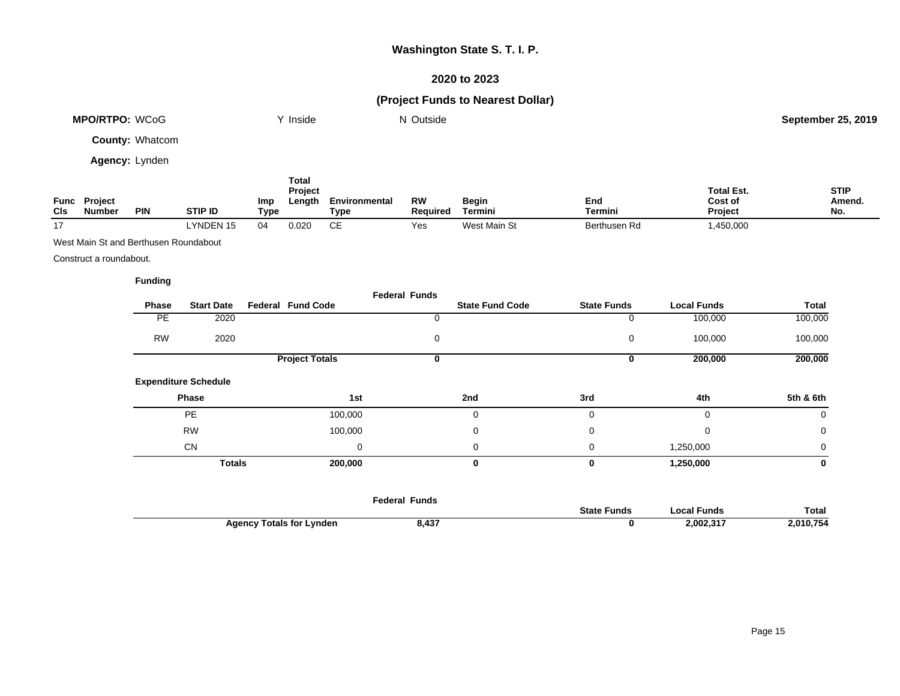### **2020 to 2023**

# **(Project Funds to Nearest Dollar)**

| <b>MPO/RTPO: WCoG</b>  | $\vee$ Inside    | N Outside |                   | <b>September 25, 2019</b> |
|------------------------|------------------|-----------|-------------------|---------------------------|
| <b>County: Whatcom</b> |                  |           |                   |                           |
| Agency: Lynden         |                  |           |                   |                           |
|                        | Total<br>Project |           | <b>Total Est.</b> | <b>STIP</b>               |

| Func<br>CIs    | <b>Project</b><br><b>Number</b> | <b>PIN</b> | <b>STIP ID</b>   | Imp<br>Type | ∟enath | <b>Environmental</b><br>Type | RW<br>Reauired | Begin<br>Terminı | End<br>Termini | ______<br><b>Cost of</b><br><b>Project</b> | Amend.<br>No. |
|----------------|---------------------------------|------------|------------------|-------------|--------|------------------------------|----------------|------------------|----------------|--------------------------------------------|---------------|
| $\overline{a}$ |                                 |            | <b>LYNDEN 15</b> |             | 020.ر  |                              | Yes            | West Main St     | Berthusen Rd   | ,450,000                                   |               |

West Main St and Berthusen Roundabout

Construct a roundabout.

|           |                             |                          | <b>Federal Funds</b> |                        |                    |                    |              |
|-----------|-----------------------------|--------------------------|----------------------|------------------------|--------------------|--------------------|--------------|
| Phase     | <b>Start Date</b>           | <b>Federal Fund Code</b> |                      | <b>State Fund Code</b> | <b>State Funds</b> | <b>Local Funds</b> | <b>Total</b> |
| <b>PE</b> | 2020                        |                          | 0                    |                        | 0                  | 100,000            | 100,000      |
| <b>RW</b> | 2020                        |                          | 0                    |                        | 0                  | 100,000            | 100,000      |
|           |                             | <b>Project Totals</b>    | 0                    |                        | 0                  | 200,000            | 200,000      |
|           | <b>Expenditure Schedule</b> |                          |                      |                        |                    |                    |              |
|           | Phase                       | 1st                      |                      | 2nd                    | 3rd                | 4th                | 5th & 6th    |
|           | <b>PE</b>                   | 100,000                  |                      | $\Omega$               | 0                  | 0                  | 0            |
|           | <b>RW</b>                   | 100,000                  |                      | $\mathbf 0$            | 0                  | $\mathbf 0$        | 0            |
|           | <b>CN</b>                   |                          | 0                    | $\Omega$               | 0                  | 1,250,000          | $\mathbf 0$  |
|           | <b>Totals</b>               | 200,000                  |                      | $\bf{0}$               | 0                  | 1,250,000          | 0            |
|           |                             |                          |                      |                        |                    |                    |              |
|           |                             |                          |                      |                        |                    |                    |              |

|                                 | <b>Federal Funds</b> |                    |             |           |
|---------------------------------|----------------------|--------------------|-------------|-----------|
|                                 |                      | <b>State Funds</b> | Local Funds | Total     |
| <b>Agency Totals for Lynden</b> | 8,437                |                    | 2.002.317   | 2,010,754 |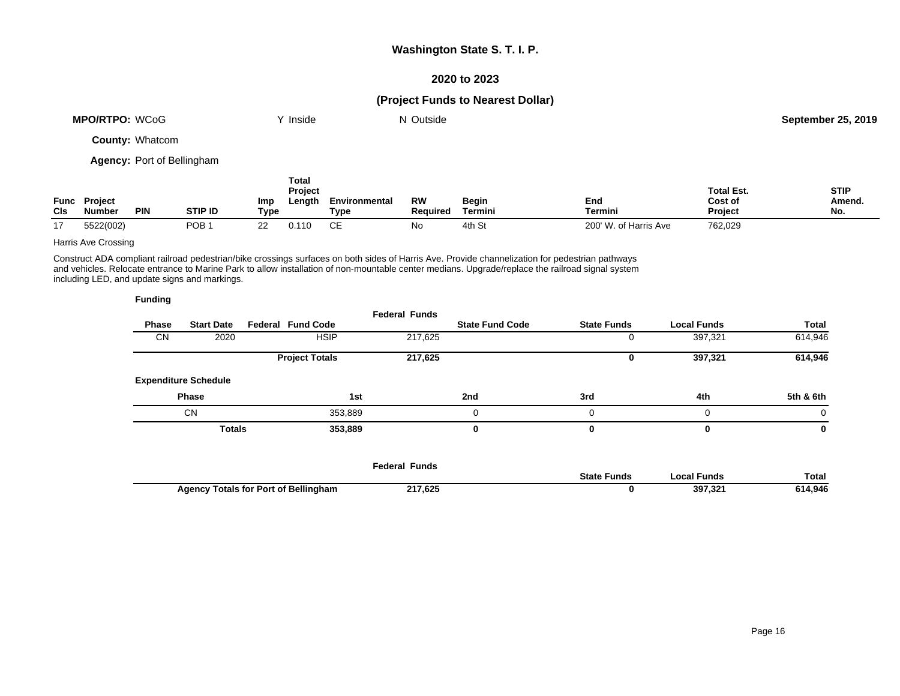### **2020 to 2023**

# **(Project Funds to Nearest Dollar)**

| <b>MPO/RTPO:</b><br>WCoG | <b>Inside</b> | Outside | 25.2019<br>September 25 |
|--------------------------|---------------|---------|-------------------------|
|                          |               |         |                         |

**County:** Whatcom

**Agency:** Port of Bellingham

|                    |                   |            |         |             | Total<br><b>Project</b> |                       |                              |                         |                       | <b>Total Est.</b>         | <b>STIP</b>   |
|--------------------|-------------------|------------|---------|-------------|-------------------------|-----------------------|------------------------------|-------------------------|-----------------------|---------------------------|---------------|
| Func<br><b>CIs</b> | Project<br>Number | <b>PIN</b> | STIP ID | Imp<br>Type | Lenath                  | Environmental<br>Type | <b>RW</b><br><b>Required</b> | <b>Begin</b><br>Termini | End<br>Termini        | Cost of<br><b>Project</b> | Amend.<br>No. |
| 17                 | 5522(002)         |            | POB 1   | nn<br>--    | 0.110                   | CЕ                    | No                           | 4th St                  | 200' W. of Harris Ave | 762,029                   |               |

Harris Ave Crossing

Construct ADA compliant railroad pedestrian/bike crossings surfaces on both sides of Harris Ave. Provide channelization for pedestrian pathways and vehicles. Relocate entrance to Marine Park to allow installation of non-mountable center medians. Upgrade/replace the railroad signal system including LED, and update signs and markings.

| <b>Funding</b> |                             |                          |                      |                        |                    |                    |           |
|----------------|-----------------------------|--------------------------|----------------------|------------------------|--------------------|--------------------|-----------|
| <b>Phase</b>   | <b>Start Date</b>           | <b>Federal Fund Code</b> | <b>Federal Funds</b> | <b>State Fund Code</b> | <b>State Funds</b> | <b>Local Funds</b> | Total     |
| CN             | 2020                        | <b>HSIP</b>              | 217,625              |                        |                    | 397,321            | 614,946   |
|                |                             | <b>Project Totals</b>    | 217,625              |                        | U                  | 397,321            | 614,946   |
|                | <b>Expenditure Schedule</b> |                          |                      |                        |                    |                    |           |
|                | <b>Phase</b>                |                          | 1st                  | 2nd                    | 3rd                | 4th                | 5th & 6th |
|                | <b>CN</b>                   | 353,889                  |                      | $\Omega$               | $\Omega$           | 0                  | 0         |
|                | <b>Totals</b>               | 353,889                  |                      | 0                      | 0                  | 0                  | 0         |

|                                                | Federal Funds |                |              |              |
|------------------------------------------------|---------------|----------------|--------------|--------------|
|                                                |               | State<br>Funds | ∟ocal Funds⊣ | <b>Total</b> |
| <b>Totals for Port of Bellingham</b><br>Agency | 217.625       |                | 397,32       | 4.946        |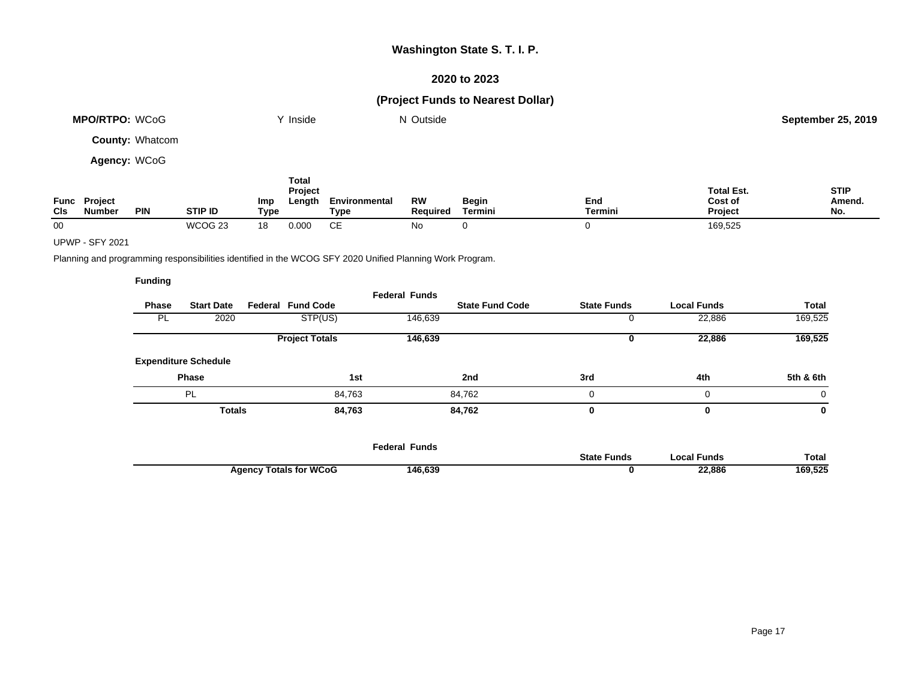### **2020 to 2023**

# **(Project Funds to Nearest Dollar)**

|              | <b>MPO/RTPO: WCoG</b>                |                        |                | Inside<br>N Outside |                            |                       |                       |                         |                | <b>September 25, 2019</b>               |                              |
|--------------|--------------------------------------|------------------------|----------------|---------------------|----------------------------|-----------------------|-----------------------|-------------------------|----------------|-----------------------------------------|------------------------------|
|              |                                      | <b>County: Whatcom</b> |                |                     |                            |                       |                       |                         |                |                                         |                              |
| Agency: WCoG |                                      |                        |                |                     |                            |                       |                       |                         |                |                                         |                              |
| CIs          | <b>Func Project</b><br><b>Number</b> | <b>PIN</b>             | <b>STIP ID</b> | <b>Imp</b><br>Type  | Total<br>Project<br>Length | Environmental<br>Type | <b>RW</b><br>Required | <b>Begin</b><br>Termini | End<br>Termini | <b>Total Est.</b><br>Cost of<br>Project | <b>STIP</b><br>Amend.<br>No. |
| 00           |                                      |                        | WCOG 23        | 18                  | 0.000                      | СE                    | No                    |                         |                | 169,525                                 |                              |

### UPWP - SFY 2021

Planning and programming responsibilities identified in the WCOG SFY 2020 Unified Planning Work Program.

|           |                             |                          | <b>Federal Funds</b> |                        |                    |                    |           |
|-----------|-----------------------------|--------------------------|----------------------|------------------------|--------------------|--------------------|-----------|
| Phase     | <b>Start Date</b>           | <b>Federal Fund Code</b> |                      | <b>State Fund Code</b> | <b>State Funds</b> | <b>Local Funds</b> | Total     |
| <b>PL</b> | 2020                        | STP(US)                  | 146,639              |                        | U                  | 22,886             | 169,525   |
|           |                             | <b>Project Totals</b>    | 146,639              |                        | υ                  | 22,886             | 169,525   |
|           | <b>Expenditure Schedule</b> |                          |                      |                        |                    |                    |           |
|           | <b>Phase</b>                |                          | 1st                  | 2nd                    | 3rd                | 4th                | 5th & 6th |
|           | PL                          |                          | 84,763               | 84,762                 | 0                  | 0                  | 0         |
|           | <b>Totals</b>               |                          | 84,763               | 84,762                 | 0                  | 0                  | 0         |
|           |                             |                          |                      |                        |                    |                    |           |

|                               | <b>Federal Funds</b> |                    |             |              |
|-------------------------------|----------------------|--------------------|-------------|--------------|
|                               |                      | <b>State Funds</b> | Local Funds | <b>Total</b> |
| <b>Agency Totals for WCoG</b> | 146,639              |                    | 22,886      | 169,525      |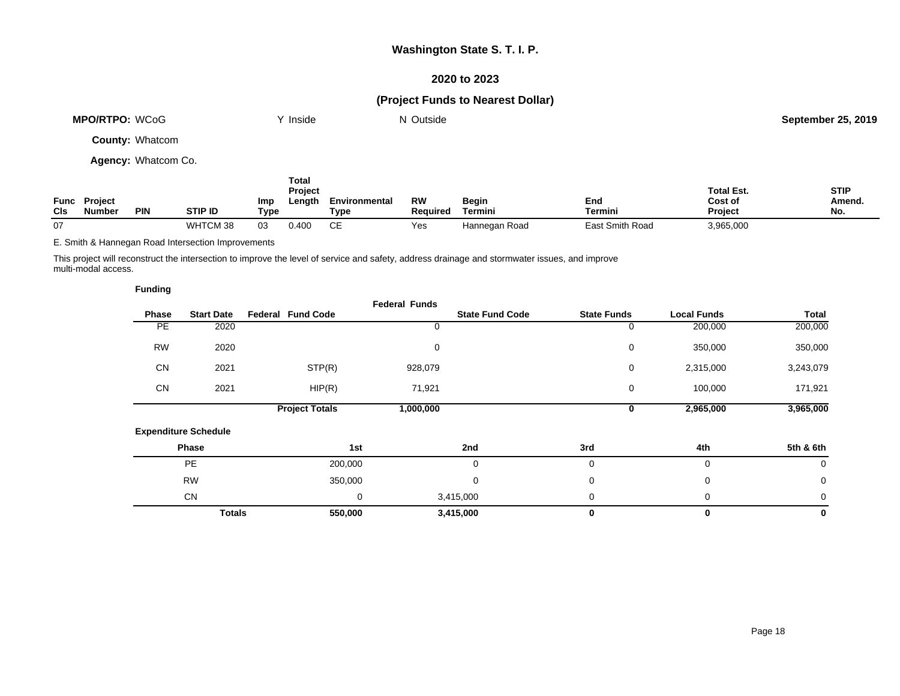### **2020 to 2023**

# **(Project Funds to Nearest Dollar)**

| MPO/RTPO: WCoG         |     | Inside                                               | N Outside |       |            |                              | <b>September 25, 2019</b>   |
|------------------------|-----|------------------------------------------------------|-----------|-------|------------|------------------------------|-----------------------------|
| <b>County: Whatcom</b> |     |                                                      |           |       |            |                              |                             |
| Agency: Whatcom Co.    |     |                                                      |           |       |            |                              |                             |
| <b>Func</b> Project    | lmn | Total<br>Project<br><b>Environmental</b><br>l enath. | <b>RW</b> | Regin | <b>Fnd</b> | <b>Total Est.</b><br>Cost of | <b>STIP</b><br><b>Amend</b> |

| <b>Func</b><br>CIs | Project<br><b>Number</b> | <b>PIN</b> | STIP ID                 | Imp<br>Type | Lengtl | Environmental<br>Type | RW<br><b>Required</b> | <b>Begin</b><br><b>Fermini</b> | End<br>Termini  | Cost of<br>Project | Amend.<br>NI.<br>IV. |
|--------------------|--------------------------|------------|-------------------------|-------------|--------|-----------------------|-----------------------|--------------------------------|-----------------|--------------------|----------------------|
| 07                 |                          |            | WH<br>TTOMA<br>ט ועוט ו | 03          | 0.400  | ~-                    | ہ ہ<br>ರು             | Hannegan Road                  | East Smith Road | 3,965,000          |                      |

E. Smith & Hannegan Road Intersection Improvements

This project will reconstruct the intersection to improve the level of service and safety, address drainage and stormwater issues, and improve multi-modal access.

| <b>Funding</b> |                             |                          |                      |                        |                    |                    |             |
|----------------|-----------------------------|--------------------------|----------------------|------------------------|--------------------|--------------------|-------------|
| Phase          | <b>Start Date</b>           | <b>Federal Fund Code</b> | <b>Federal Funds</b> | <b>State Fund Code</b> | <b>State Funds</b> | <b>Local Funds</b> | Total       |
| PE             | 2020                        |                          | 0                    |                        | 0                  | 200,000            | 200,000     |
| <b>RW</b>      | 2020                        |                          | 0                    |                        | 0                  | 350,000            | 350,000     |
| CN             | 2021                        | STP(R)                   | 928,079              |                        | $\mathbf 0$        | 2,315,000          | 3,243,079   |
| <b>CN</b>      | 2021                        | HIP(R)                   | 71,921               |                        | 0                  | 100,000            | 171,921     |
|                |                             | <b>Project Totals</b>    | 1,000,000            |                        | 0                  | 2,965,000          | 3,965,000   |
|                | <b>Expenditure Schedule</b> |                          |                      |                        |                    |                    |             |
|                | Phase                       |                          | 1st                  | 2nd                    | 3rd                | 4th                | 5th & 6th   |
|                | <b>PE</b>                   | 200,000                  |                      | 0                      | $\mathbf 0$        | 0                  | 0           |
|                | <b>RW</b>                   | 350,000                  |                      | 0                      | 0                  | 0                  | $\mathbf 0$ |
|                | <b>CN</b>                   |                          | 0                    | 3,415,000              | 0                  | 0                  | 0           |
|                | <b>Totals</b>               | 550,000                  |                      | 3,415,000              | 0                  | $\mathbf 0$        | 0           |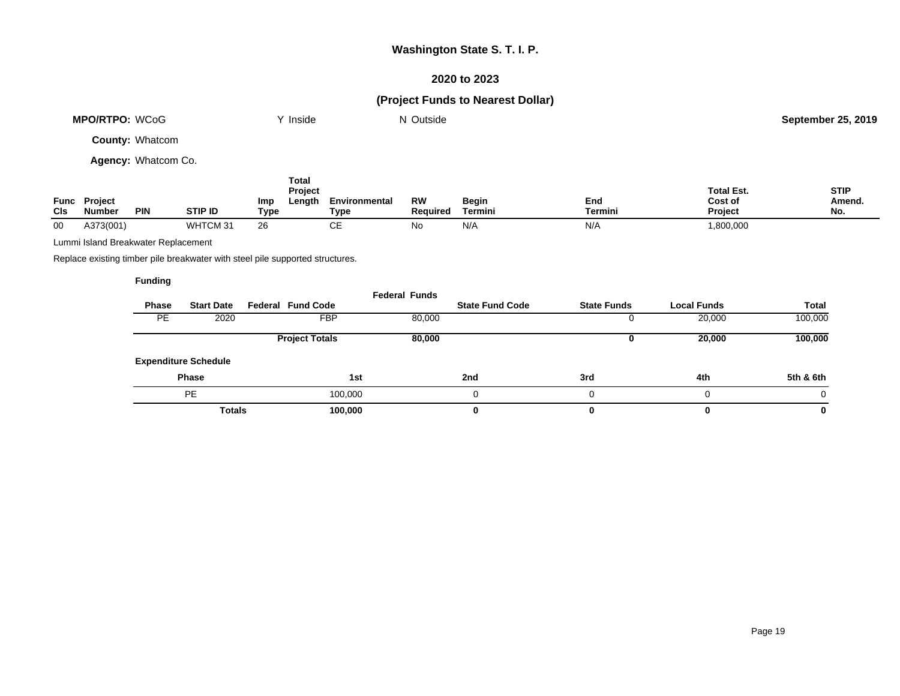### **2020 to 2023**

# **(Project Funds to Nearest Dollar)**

| <b>MPO/RTPO: WCoG</b>  | Y Inside | N Outside | <b>September 25, 2019</b> |
|------------------------|----------|-----------|---------------------------|
| <b>County: Whatcom</b> |          |           |                           |
| Agency: Whatcom Co.    |          |           |                           |
|                        | Total    |           |                           |

| Func<br>CIs | Project<br><b>Number</b> | <b>PIN</b> | <b>STIP ID</b> | $\overline{\phantom{a}}$<br><b>Project</b><br>Length<br>Imp<br>Tvpe | Environmental<br>Type | RW<br><b>Required</b> | Begin<br>Termini | End<br>Termini | <b>Total Est.</b><br>Cost of<br><b>Project</b> | <b>STIP</b><br>Amend.<br>No. |
|-------------|--------------------------|------------|----------------|---------------------------------------------------------------------|-----------------------|-----------------------|------------------|----------------|------------------------------------------------|------------------------------|
| 00          | A373(001)                |            | WHTCM 3        | nc<br>∠٥                                                            | ັ                     | No                    | N/A              | N/f            | 1,800,000                                      |                              |

Lummi Island Breakwater Replacement

Replace existing timber pile breakwater with steel pile supported structures.

|           |                             |                          | <b>Federal Funds</b> |                        |                    |                    |              |
|-----------|-----------------------------|--------------------------|----------------------|------------------------|--------------------|--------------------|--------------|
| Phase     | <b>Start Date</b>           | <b>Federal Fund Code</b> |                      | <b>State Fund Code</b> | <b>State Funds</b> | <b>Local Funds</b> | <b>Total</b> |
| <b>PE</b> | 2020                        | <b>FBP</b>               | 80,000               |                        |                    | 20,000             | 100,000      |
|           |                             | <b>Project Totals</b>    | 80,000               |                        |                    | 20,000             | 100,000      |
|           | <b>Expenditure Schedule</b> |                          |                      |                        |                    |                    |              |
|           | <b>Phase</b>                |                          | 1st                  | 2nd                    | 3rd                | 4th                | 5th & 6th    |
|           | <b>PE</b>                   |                          | 100.000              |                        |                    | 0                  | 0            |
|           | <b>Totals</b>               |                          | 100,000              | 0                      |                    | 0                  | 0            |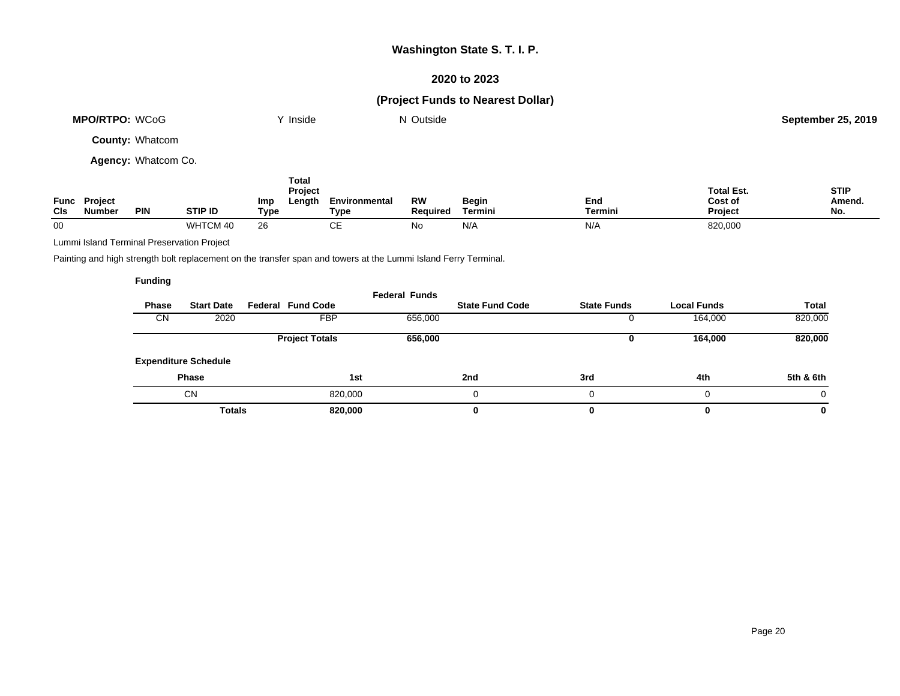### **2020 to 2023**

# **(Project Funds to Nearest Dollar)**

| <b>MPO/RTPO: WCoG</b>      | Y Inside | N Outside | <b>September 25, 2019</b> |
|----------------------------|----------|-----------|---------------------------|
| <b>County: Whatcom</b>     |          |           |                           |
| <b>Agency: Whatcom Co.</b> |          |           |                           |

| Func<br><b>CIs</b> | <b>Project</b><br><b>Number</b> | <b>PIN</b> | <b>STIP ID</b> | Imp<br>Type | Total<br><b>Project</b><br>Length | Environmental<br>Type | RW<br><b>Required</b> | <b>Begin</b><br>Termini | End<br><b>Termini</b> | <b>Total Est.</b><br>Cost of<br>Project | <b>STIP</b><br>Amend.<br>No. |
|--------------------|---------------------------------|------------|----------------|-------------|-----------------------------------|-----------------------|-----------------------|-------------------------|-----------------------|-----------------------------------------|------------------------------|
| 00                 |                                 |            | WHTCM 40       | 26          |                                   | CЕ                    | No                    | N/A                     | N/A                   | 820,000                                 |                              |

Lummi Island Terminal Preservation Project

Painting and high strength bolt replacement on the transfer span and towers at the Lummi Island Ferry Terminal.

|           |                             |                          | <b>Federal Funds</b> |                        |                    |                    |              |
|-----------|-----------------------------|--------------------------|----------------------|------------------------|--------------------|--------------------|--------------|
| Phase     | <b>Start Date</b>           | <b>Federal Fund Code</b> |                      | <b>State Fund Code</b> | <b>State Funds</b> | <b>Local Funds</b> | <b>Total</b> |
| <b>CN</b> | 2020                        | <b>FBP</b>               | 656,000              |                        |                    | 164,000            | 820,000      |
|           |                             | <b>Project Totals</b>    | 656,000              |                        |                    | 164,000            | 820,000      |
|           | <b>Expenditure Schedule</b> |                          |                      |                        |                    |                    |              |
|           | <b>Phase</b>                | 1st                      |                      | 2nd                    | 3rd                | 4th                | 5th & 6th    |
|           | <b>CN</b>                   | 820,000                  |                      |                        | 0                  |                    | $\Omega$     |
|           | <b>Totals</b>               | 820,000                  |                      | 0                      | 0                  |                    | 0            |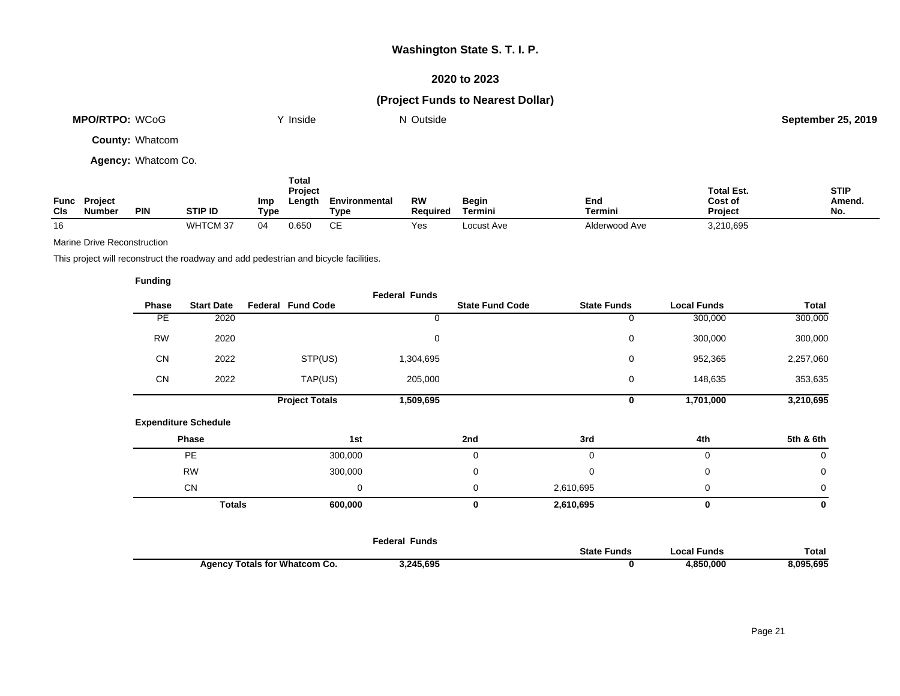### **2020 to 2023**

# **(Project Funds to Nearest Dollar)**

| <b>MPO/RTPO: WCoG</b>  | Y Inside | N Outside | <b>September 25, 2019</b> |
|------------------------|----------|-----------|---------------------------|
| <b>County: Whatcom</b> |          |           |                           |

**Agency:** Whatcom Co.

| Func<br>CIs | <b>Project</b><br>Number | <b>PIN</b> | <b>STIP ID</b> | Imp<br>Type | Total<br>Project<br>∟ength | <b>Environmental</b><br>Type | <b>RW</b><br>Reauired | <b>Begin</b><br>Termini | End<br>Termini | <b>Total Est.</b><br>Cost of<br>Project | <b>STIP</b><br>Amend<br>No. |
|-------------|--------------------------|------------|----------------|-------------|----------------------------|------------------------------|-----------------------|-------------------------|----------------|-----------------------------------------|-----------------------------|
| 16          |                          |            | WHTCM 37       |             | 0.650                      | ◡∟                           | Yes                   | Locust Ave              | Alderwood Ave  | 3,210,695                               |                             |

Marine Drive Reconstruction

This project will reconstruct the roadway and add pedestrian and bicycle facilities.

|           |                             |                          | <b>Federal Funds</b> |                        |                    |                    |              |
|-----------|-----------------------------|--------------------------|----------------------|------------------------|--------------------|--------------------|--------------|
| Phase     | <b>Start Date</b>           | <b>Federal Fund Code</b> |                      | <b>State Fund Code</b> | <b>State Funds</b> | <b>Local Funds</b> | <b>Total</b> |
| PE        | 2020                        |                          | 0                    |                        | 0                  | 300,000            | 300,000      |
| <b>RW</b> | 2020                        |                          | 0                    |                        | 0                  | 300,000            | 300,000      |
| CN        | 2022                        | STP(US)                  | 1,304,695            |                        | 0                  | 952,365            | 2,257,060    |
| CN        | 2022                        | TAP(US)                  | 205,000              |                        | 0                  | 148,635            | 353,635      |
|           |                             | <b>Project Totals</b>    | 1,509,695            |                        | $\mathbf 0$        | 1,701,000          | 3,210,695    |
|           | <b>Expenditure Schedule</b> |                          |                      |                        |                    |                    |              |
|           | Phase                       | 1st                      |                      | 2nd                    | 3rd                | 4th                | 5th & 6th    |
|           | <b>PE</b>                   | 300,000                  |                      | $\mathbf 0$            | $\mathbf 0$        | 0                  | $\mathbf 0$  |
|           |                             |                          |                      |                        |                    |                    |              |
|           | <b>RW</b>                   | 300,000                  |                      | 0                      | $\mathbf 0$        | 0                  | 0            |
|           | CN                          |                          | 0                    | 0                      | 2,610,695          | 0                  | 0            |

|                                      | reuerar<br>runus |                    |             |           |
|--------------------------------------|------------------|--------------------|-------------|-----------|
|                                      |                  | <b>State Funds</b> | Local Funds | Гоtal     |
| <b>Agency Totals for Whatcom Co.</b> | 3.245.695        |                    | ,850,000    | 3,095,695 |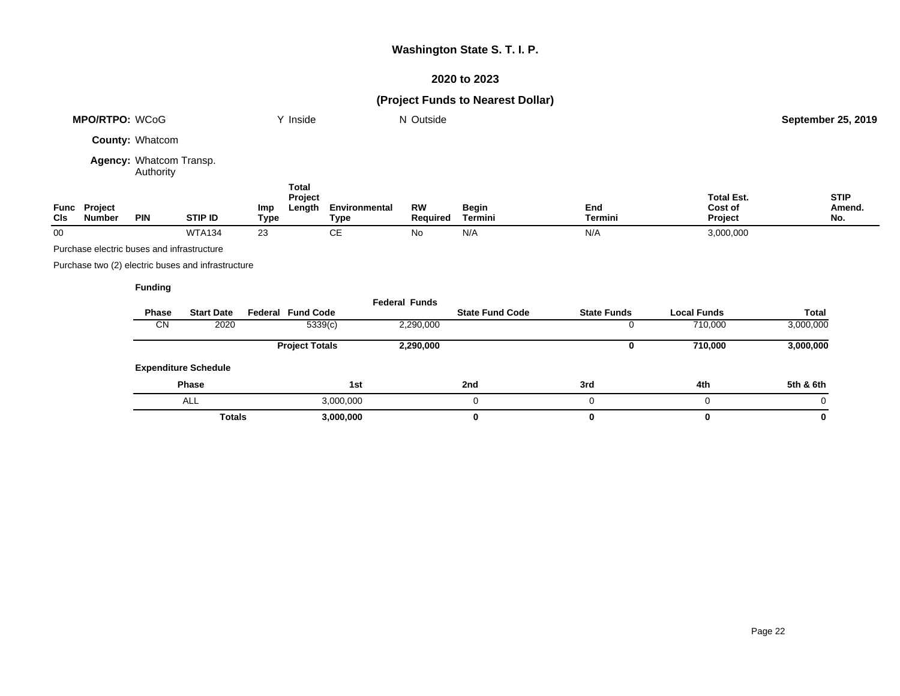# **2020 to 2023**

| <b>MPO/RTPO: WCoG</b> |                                            | Y Inside                             |                                                    | N Outside          |                                   |                              |                       | <b>September 25, 2019</b> |                    |                                         |                              |
|-----------------------|--------------------------------------------|--------------------------------------|----------------------------------------------------|--------------------|-----------------------------------|------------------------------|-----------------------|---------------------------|--------------------|-----------------------------------------|------------------------------|
|                       |                                            | County: Whatcom                      |                                                    |                    |                                   |                              |                       |                           |                    |                                         |                              |
|                       |                                            | Agency: Whatcom Transp.<br>Authority |                                                    |                    |                                   |                              |                       |                           |                    |                                         |                              |
| Func<br>CIs           | <b>Project</b><br><b>Number</b>            | <b>PIN</b>                           | STIP ID                                            | Imp<br><b>Type</b> | <b>Total</b><br>Project<br>Length | Environmental<br><b>Type</b> | <b>RW</b><br>Required | Begin<br>Termini          | End<br>Termini     | <b>Total Est.</b><br>Cost of<br>Project | <b>STIP</b><br>Amend.<br>No. |
| $00\,$                |                                            |                                      | <b>WTA134</b>                                      | 23                 |                                   | <b>CE</b>                    | No                    | N/A                       | N/A                | 3,000,000                               |                              |
|                       | Purchase electric buses and infrastructure |                                      |                                                    |                    |                                   |                              |                       |                           |                    |                                         |                              |
|                       |                                            |                                      | Purchase two (2) electric buses and infrastructure |                    |                                   |                              |                       |                           |                    |                                         |                              |
|                       |                                            | <b>Funding</b>                       |                                                    |                    |                                   |                              |                       |                           |                    |                                         |                              |
|                       |                                            |                                      |                                                    |                    |                                   |                              | <b>Federal Funds</b>  |                           |                    |                                         |                              |
|                       |                                            | <b>Phase</b>                         | <b>Start Date</b>                                  |                    | <b>Federal Fund Code</b>          |                              |                       | <b>State Fund Code</b>    | <b>State Funds</b> | <b>Local Funds</b>                      | <b>Total</b>                 |
|                       |                                            | <b>CN</b>                            | 2020                                               |                    | 5339(c)                           |                              | 2,290,000             |                           | 0                  | 710,000                                 | 3,000,000                    |
|                       |                                            | <b>Expenditure Schedule</b>          |                                                    |                    | <b>Project Totals</b>             |                              | 2,290,000             |                           | 0                  | 710,000                                 | 3,000,000                    |
|                       |                                            |                                      |                                                    |                    |                                   |                              |                       |                           |                    |                                         |                              |
|                       |                                            |                                      | Phase                                              |                    |                                   | 1st                          |                       | 2nd                       | 3rd                | 4th                                     | 5th & 6th                    |
|                       |                                            |                                      | <b>ALL</b>                                         |                    |                                   | 3,000,000                    |                       | $\mathbf 0$               | 0                  | $\mathbf 0$                             | $\Omega$                     |
|                       |                                            |                                      | <b>Totals</b>                                      |                    |                                   | 3,000,000                    |                       | $\bf{0}$                  | $\mathbf 0$        | 0                                       | 0                            |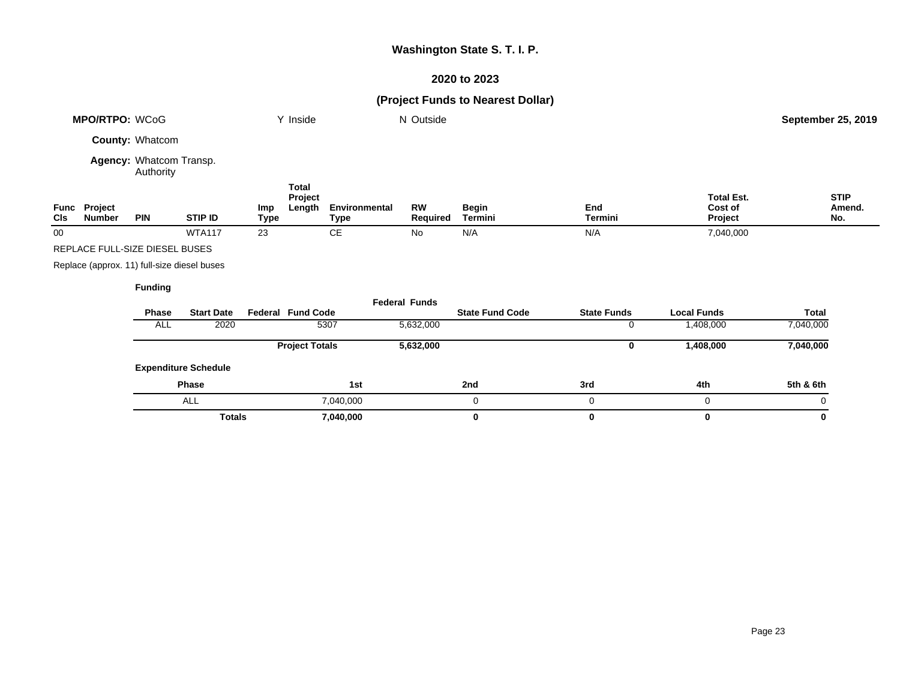# **2020 to 2023**

| <b>MPO/RTPO: WCoG</b>  |               | Y Inside                                    |                           | N Outside          |                                   |                              |                       | September 25, 2019      |                                      |                                         |                              |
|------------------------|---------------|---------------------------------------------|---------------------------|--------------------|-----------------------------------|------------------------------|-----------------------|-------------------------|--------------------------------------|-----------------------------------------|------------------------------|
|                        |               | County: Whatcom                             |                           |                    |                                   |                              |                       |                         |                                      |                                         |                              |
|                        |               | Agency: Whatcom Transp.<br>Authority        |                           |                    |                                   |                              |                       |                         |                                      |                                         |                              |
| Func<br>Project<br>CIs | <b>Number</b> | <b>PIN</b>                                  | STIP ID                   | Imp<br><b>Type</b> | <b>Total</b><br>Project<br>Length | Environmental<br><b>Type</b> | <b>RW</b><br>Required | <b>Begin</b><br>Termini | End<br>Termini                       | <b>Total Est.</b><br>Cost of<br>Project | <b>STIP</b><br>Amend.<br>No. |
| $00\,$                 |               |                                             | <b>WTA117</b>             | 23                 |                                   | $\mathsf{CE}$                | No                    | N/A                     | N/A                                  | 7,040,000                               |                              |
|                        |               | REPLACE FULL-SIZE DIESEL BUSES              |                           |                    |                                   |                              |                       |                         |                                      |                                         |                              |
|                        |               | Replace (approx. 11) full-size diesel buses |                           |                    |                                   |                              |                       |                         |                                      |                                         |                              |
|                        |               | <b>Funding</b>                              |                           |                    |                                   |                              |                       |                         |                                      |                                         |                              |
|                        |               |                                             |                           |                    |                                   |                              | <b>Federal Funds</b>  |                         |                                      |                                         |                              |
|                        |               | Phase<br>ALL                                | <b>Start Date</b><br>2020 |                    | <b>Federal Fund Code</b>          | 5307                         | 5,632,000             | <b>State Fund Code</b>  | <b>State Funds</b><br>$\overline{0}$ | <b>Local Funds</b><br>1,408,000         | <b>Total</b><br>7,040,000    |
|                        |               |                                             |                           |                    |                                   |                              |                       |                         |                                      |                                         |                              |
|                        |               | <b>Expenditure Schedule</b>                 |                           |                    | <b>Project Totals</b>             |                              | 5,632,000             |                         | 0                                    | 1,408,000                               | 7,040,000                    |
|                        |               |                                             |                           |                    |                                   |                              |                       |                         |                                      |                                         |                              |
|                        |               |                                             | Phase                     |                    |                                   | 1st                          |                       | 2nd                     | 3rd                                  | 4th                                     | 5th & 6th                    |
|                        |               |                                             | <b>ALL</b>                |                    |                                   | 7,040,000                    |                       | $\mathbf 0$             | $\mathbf 0$                          | 0                                       | $\Omega$                     |
|                        |               |                                             | <b>Totals</b>             |                    |                                   | 7,040,000                    |                       | $\bf{0}$                | $\bf{0}$                             | 0                                       | $\mathbf 0$                  |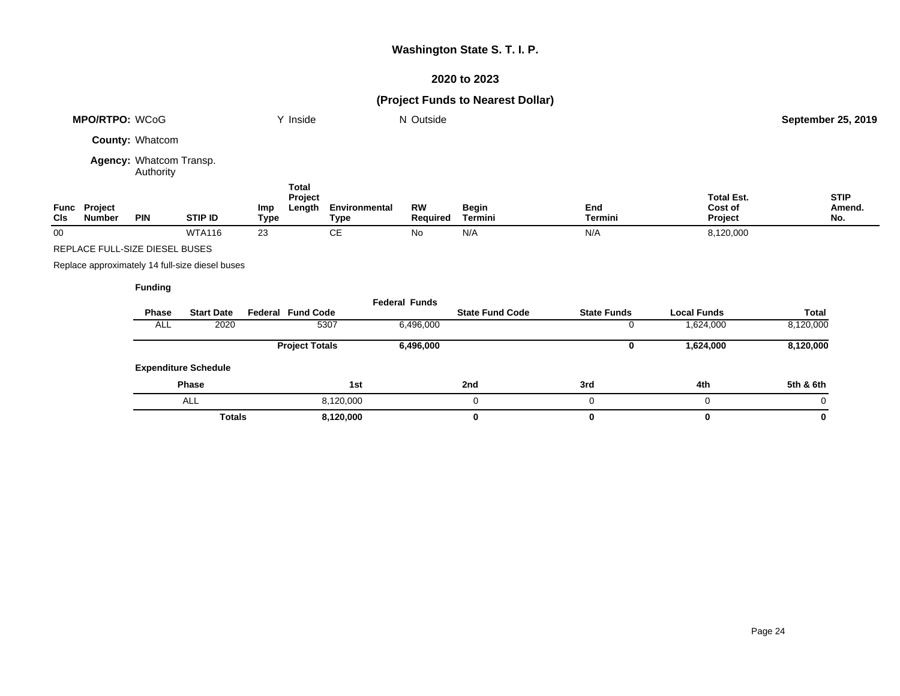# **2020 to 2023**

| MPO/RTPO: WCoG |                                | Y Inside                             |                                                 | N Outside   |                                   |                              |                       | September 25, 2019     |                    |                                         |                              |
|----------------|--------------------------------|--------------------------------------|-------------------------------------------------|-------------|-----------------------------------|------------------------------|-----------------------|------------------------|--------------------|-----------------------------------------|------------------------------|
|                |                                | County: Whatcom                      |                                                 |             |                                   |                              |                       |                        |                    |                                         |                              |
|                |                                | Agency: Whatcom Transp.<br>Authority |                                                 |             |                                   |                              |                       |                        |                    |                                         |                              |
| Func<br>Cls    | Project<br><b>Number</b>       | <b>PIN</b>                           | <b>STIP ID</b>                                  | Imp<br>Type | <b>Total</b><br>Project<br>Length | Environmental<br><b>Type</b> | <b>RW</b><br>Required | Begin<br>Termini       | End<br>Termini     | <b>Total Est.</b><br>Cost of<br>Project | <b>STIP</b><br>Amend.<br>No. |
| $00\,$         |                                |                                      | <b>WTA116</b>                                   | 23          |                                   | <b>CE</b>                    | No                    | N/A                    | N/A                | 8,120,000                               |                              |
|                | REPLACE FULL-SIZE DIESEL BUSES |                                      |                                                 |             |                                   |                              |                       |                        |                    |                                         |                              |
|                |                                |                                      | Replace approximately 14 full-size diesel buses |             |                                   |                              |                       |                        |                    |                                         |                              |
|                |                                | <b>Funding</b>                       |                                                 |             |                                   |                              |                       |                        |                    |                                         |                              |
|                |                                |                                      |                                                 |             |                                   |                              | <b>Federal Funds</b>  |                        |                    |                                         |                              |
|                |                                | Phase                                | <b>Start Date</b>                               |             | Federal Fund Code                 |                              |                       | <b>State Fund Code</b> | <b>State Funds</b> | <b>Local Funds</b>                      | <b>Total</b>                 |
|                |                                | ALL                                  | 2020                                            |             |                                   | 5307                         | 6,496,000             |                        | 0                  | 1,624,000                               | 8,120,000                    |
|                |                                | <b>Expenditure Schedule</b>          |                                                 |             | <b>Project Totals</b>             |                              | 6,496,000             |                        | 0                  | 1,624,000                               | 8,120,000                    |
|                |                                |                                      |                                                 |             |                                   |                              |                       |                        |                    |                                         |                              |
|                |                                |                                      | Phase                                           |             |                                   | 1st                          |                       | 2nd                    | 3rd                | 4th                                     | 5th & 6th                    |
|                |                                |                                      | <b>ALL</b>                                      |             | 8,120,000                         |                              |                       | $\mathbf 0$            | $\mathbf 0$        | $\mathbf 0$                             | $\mathbf 0$                  |
|                |                                |                                      | <b>Totals</b>                                   |             |                                   | 8,120,000                    |                       | $\pmb{0}$              | $\bf{0}$           | 0                                       | $\bf{0}$                     |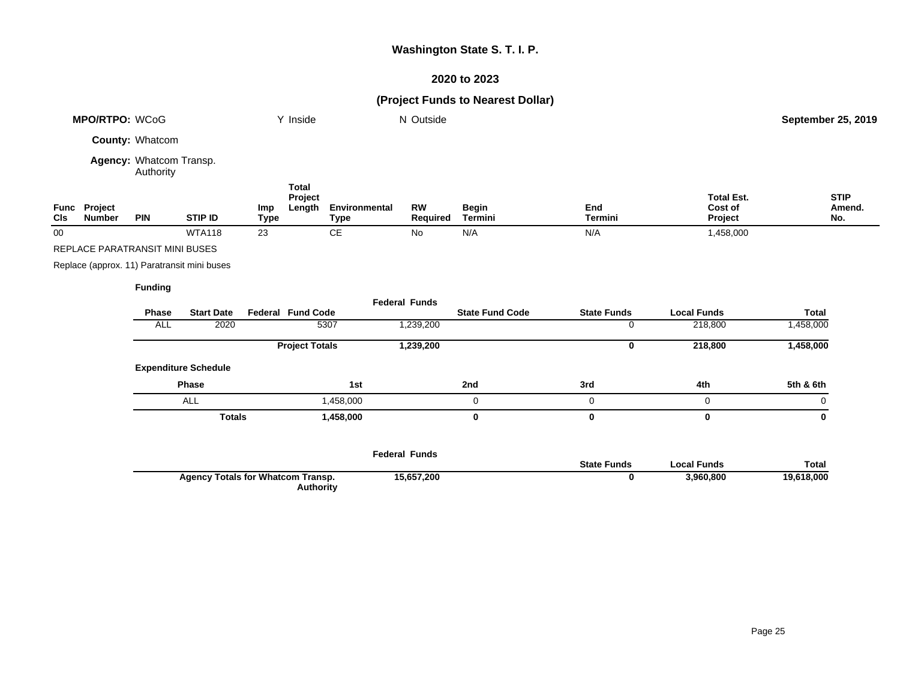# **2020 to 2023**

|                                                       | MPO/RTPO: WCoG                              |                                      |                   |                    | Y Inside                          |                              | N Outside             |                         |                       |                                         | <b>September 25, 2019</b>    |
|-------------------------------------------------------|---------------------------------------------|--------------------------------------|-------------------|--------------------|-----------------------------------|------------------------------|-----------------------|-------------------------|-----------------------|-----------------------------------------|------------------------------|
|                                                       |                                             | County: Whatcom                      |                   |                    |                                   |                              |                       |                         |                       |                                         |                              |
|                                                       |                                             | Agency: Whatcom Transp.<br>Authority |                   |                    |                                   |                              |                       |                         |                       |                                         |                              |
| CIs                                                   | Func Project<br><b>Number</b>               | <b>PIN</b>                           | <b>STIP ID</b>    | Imp<br><b>Type</b> | <b>Total</b><br>Project<br>Length | Environmental<br><b>Type</b> | <b>RW</b><br>Required | <b>Begin</b><br>Termini | End<br><b>Termini</b> | <b>Total Est.</b><br>Cost of<br>Project | <b>STIP</b><br>Amend.<br>No. |
| 00                                                    |                                             |                                      | <b>WTA118</b>     | 23                 |                                   | $\mathsf{CE}$                | No                    | N/A                     | N/A                   | 1,458,000                               |                              |
|                                                       | REPLACE PARATRANSIT MINI BUSES              |                                      |                   |                    |                                   |                              |                       |                         |                       |                                         |                              |
|                                                       | Replace (approx. 11) Paratransit mini buses |                                      |                   |                    |                                   |                              |                       |                         |                       |                                         |                              |
|                                                       |                                             | <b>Funding</b>                       |                   |                    |                                   |                              |                       |                         |                       |                                         |                              |
|                                                       |                                             |                                      |                   |                    |                                   |                              | <b>Federal Funds</b>  |                         |                       |                                         |                              |
|                                                       |                                             | Phase                                | <b>Start Date</b> |                    | <b>Federal Fund Code</b>          |                              |                       | <b>State Fund Code</b>  | <b>State Funds</b>    | <b>Local Funds</b>                      | <b>Total</b>                 |
|                                                       |                                             | <b>ALL</b>                           | 2020              |                    |                                   | 5307                         | 1,239,200             |                         | 0                     | 218,800                                 | 1,458,000                    |
|                                                       |                                             |                                      |                   |                    | <b>Project Totals</b>             |                              | 1,239,200             |                         | $\mathbf 0$           | 218,800                                 | 1,458,000                    |
|                                                       |                                             | <b>Expenditure Schedule</b>          |                   |                    |                                   |                              |                       |                         |                       |                                         |                              |
|                                                       |                                             |                                      | Phase             |                    |                                   | 1st                          |                       | 2nd                     | 3rd                   | 4th                                     | 5th & 6th                    |
|                                                       |                                             |                                      | <b>ALL</b>        |                    |                                   | 1,458,000                    |                       | 0                       | 0                     | 0                                       | 0                            |
|                                                       |                                             | <b>Totals</b><br>1,458,000           |                   |                    |                                   |                              | $\bf{0}$              | 0                       | $\bf{0}$              | $\bf{0}$                                |                              |
|                                                       |                                             |                                      |                   |                    | <b>Federal Funds</b>              |                              | <b>State Funds</b>    | <b>Local Funds</b>      | <b>Total</b>          |                                         |                              |
| <b>Agency Totals for Whatcom Transp.</b><br>Authority |                                             |                                      |                   | 15,657,200         |                                   | 0                            | 3,960,800             | 19,618,000              |                       |                                         |                              |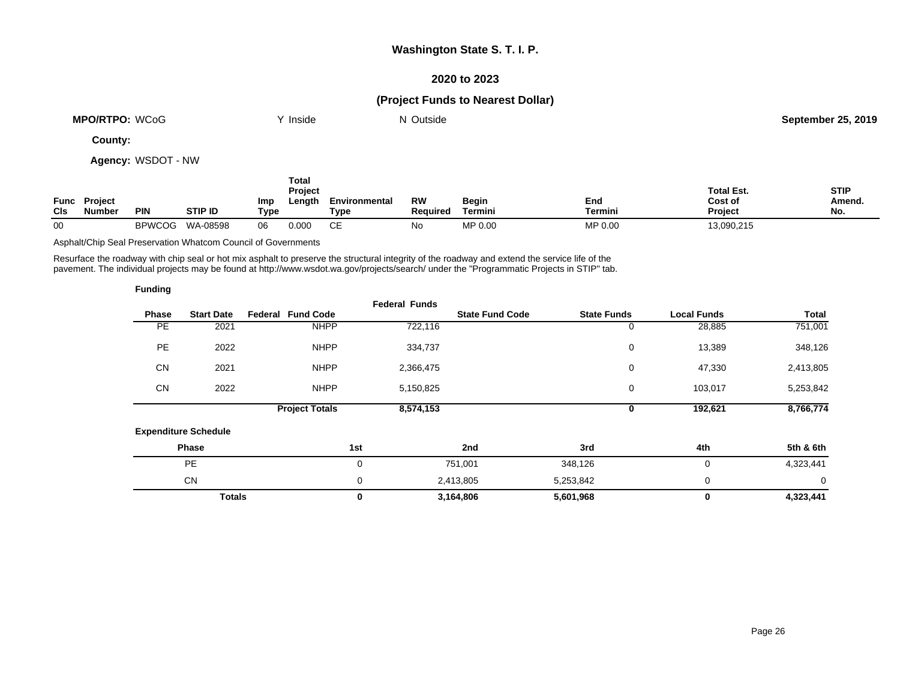### **2020 to 2023**

# **(Project Funds to Nearest Dollar)**

| <b>MPO/RTPO: WCoG</b> | <b>Inside</b> | Outside<br>NL | <b>September 25, 2019</b> |
|-----------------------|---------------|---------------|---------------------------|
|                       |               |               |                           |

**County:**

**Agency:** WSDOT - NW

|            |                                      |               |                |             | Total<br><b>Project</b> |                       |                       |                         |                | <b>Total Est.</b>         | <b>STIP</b>   |
|------------|--------------------------------------|---------------|----------------|-------------|-------------------------|-----------------------|-----------------------|-------------------------|----------------|---------------------------|---------------|
| <b>CIs</b> | <b>Func</b> Project<br><b>Number</b> | <b>PIN</b>    | <b>STIP ID</b> | Imp<br>Type | Length                  | Environmental<br>Туре | RW<br><b>Required</b> | <b>Begin</b><br>Termini | End<br>Termini | Cost of<br><b>Project</b> | Amend.<br>No. |
| 00         |                                      | <b>BPWCOG</b> | WA-08598       | 06          | 0.000                   | CЕ                    | No                    | MP 0.00                 | MP 0.00        | 13,090,215                |               |

Asphalt/Chip Seal Preservation Whatcom Council of Governments

Resurface the roadway with chip seal or hot mix asphalt to preserve the structural integrity of the roadway and extend the service life of the pavement. The individual projects may be found at http://www.wsdot.wa.gov/projects/search/ under the "Programmatic Projects in STIP" tab.

| <b>Funding</b> |                             |                          |                      |                        |                    |                    |           |
|----------------|-----------------------------|--------------------------|----------------------|------------------------|--------------------|--------------------|-----------|
| Phase          | <b>Start Date</b>           | <b>Federal Fund Code</b> | <b>Federal Funds</b> | <b>State Fund Code</b> | <b>State Funds</b> | <b>Local Funds</b> | Total     |
| PE             | 2021                        | <b>NHPP</b>              | 722,116              |                        | 0                  | 28,885             | 751,001   |
| <b>PE</b>      | 2022                        | <b>NHPP</b>              | 334,737              |                        | 0                  | 13,389             | 348,126   |
| <b>CN</b>      | 2021                        | <b>NHPP</b>              | 2,366,475            |                        | 0                  | 47,330             | 2,413,805 |
| <b>CN</b>      | 2022                        | <b>NHPP</b>              | 5,150,825            |                        | 0                  | 103,017            | 5,253,842 |
|                |                             | <b>Project Totals</b>    | 8,574,153            |                        | 0                  | 192,621            | 8,766,774 |
|                | <b>Expenditure Schedule</b> |                          |                      |                        |                    |                    |           |
|                | Phase                       |                          | 1st                  | 2nd                    | 3rd                | 4th                | 5th & 6th |
|                | <b>PE</b>                   |                          | 0                    | 751,001                | 348,126            | 0                  | 4,323,441 |
|                | <b>CN</b>                   |                          | 0                    | 2,413,805              | 5,253,842          | 0                  | 0         |
|                | <b>Totals</b>               |                          | 0                    | 3,164,806              | 5,601,968          | 0                  | 4,323,441 |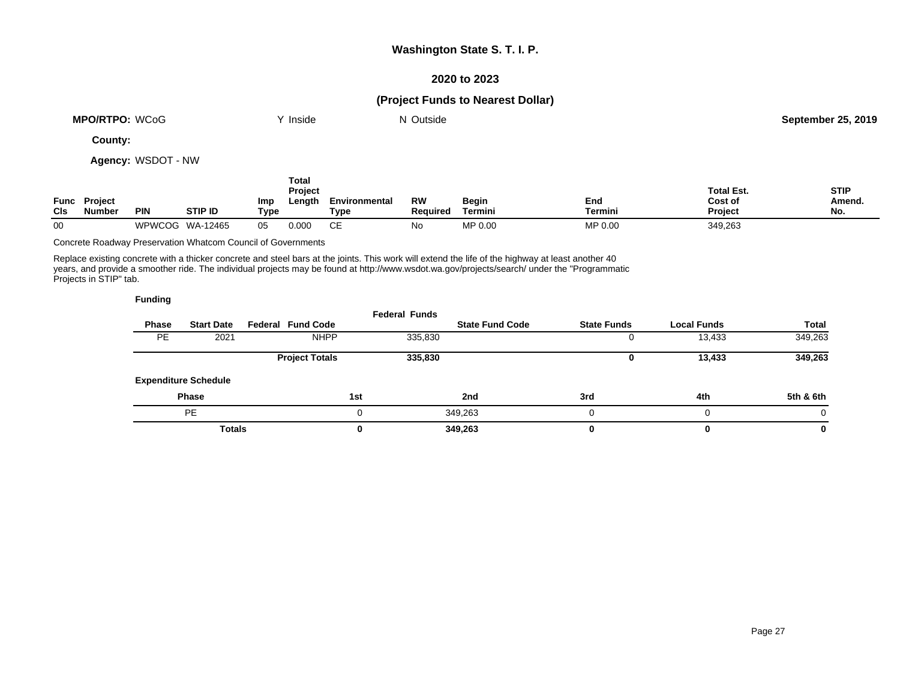### **2020 to 2023**

### **(Project Funds to Nearest Dollar)**

| WCoG<br><b>MPO/RTPO:</b> | Inside | Outside<br>NL | September 25, 2019 |
|--------------------------|--------|---------------|--------------------|
| $\sim$ $\sim$            |        |               |                    |

**County:**

**Agency:** WSDOT - NW

| <b>CIs</b> | <b>Func</b> Project<br>Number | <b>PIN</b> | <b>STIP ID</b>  | Imp<br>Type | Total<br><b>Project</b><br>Length | Environmental<br><b>Type</b> | <b>RW</b><br><b>Required</b> | Begin<br>Termini | End<br><b>Termini</b> | <b>Total Est.</b><br>Cost of<br><b>Project</b> | <b>STIP</b><br><b>Amend</b><br>No. |
|------------|-------------------------------|------------|-----------------|-------------|-----------------------------------|------------------------------|------------------------------|------------------|-----------------------|------------------------------------------------|------------------------------------|
| 00         |                               |            | WPWCOG WA-12465 | 05          | 0.000                             | СE                           | No                           | MP 0.00          | MP 0.00               | 349,263                                        |                                    |

Concrete Roadway Preservation Whatcom Council of Governments

Replace existing concrete with a thicker concrete and steel bars at the joints. This work will extend the life of the highway at least another 40 years, and provide a smoother ride. The individual projects may be found at http://www.wsdot.wa.gov/projects/search/ under the "Programmatic Projects in STIP" tab.

|           |                             |                          | <b>Federal Funds</b> |                        |                    |                    |           |
|-----------|-----------------------------|--------------------------|----------------------|------------------------|--------------------|--------------------|-----------|
| Phase     | <b>Start Date</b>           | <b>Federal Fund Code</b> |                      | <b>State Fund Code</b> | <b>State Funds</b> | <b>Local Funds</b> | Total     |
| <b>PE</b> | 2021                        | <b>NHPP</b>              | 335,830              |                        |                    | 13,433             | 349,263   |
|           |                             | <b>Project Totals</b>    | 335,830              |                        |                    | 13,433             | 349,263   |
|           | <b>Expenditure Schedule</b> |                          |                      |                        |                    |                    |           |
|           | <b>Phase</b>                |                          | 1st                  | 2nd                    | 3rd                | 4th                | 5th & 6th |
|           | <b>PE</b>                   |                          |                      | 349,263                |                    | 0                  | 0         |
|           | <b>Totals</b>               |                          | 0                    | 349,263                |                    | 0                  | 0         |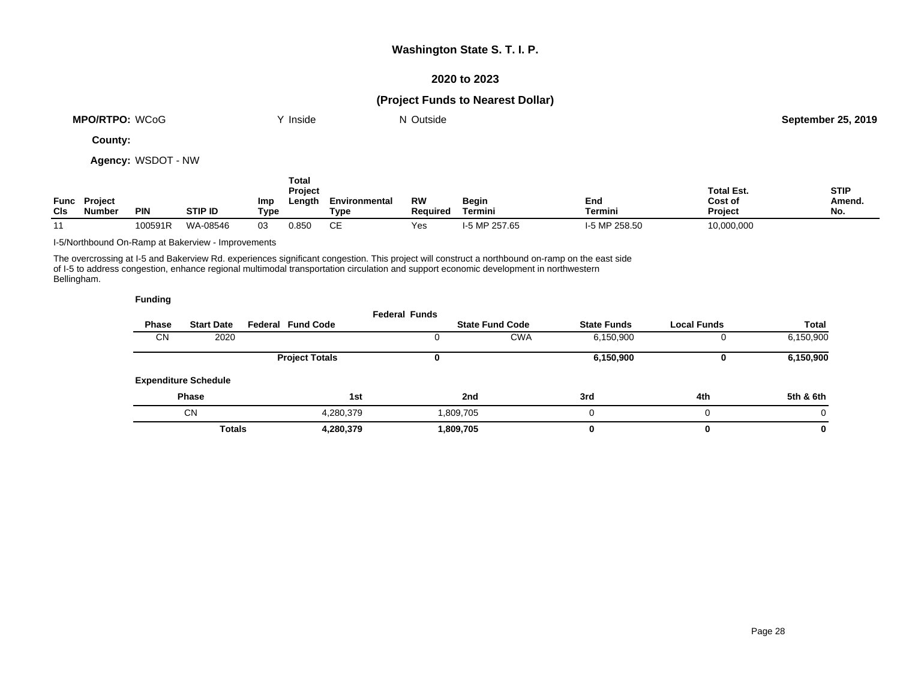### **2020 to 2023**

# **(Project Funds to Nearest Dollar)**

| <b>MPO/RTPO: WCoG</b> | Inside | Outside<br>NL | <b>September 25, 2019</b> |
|-----------------------|--------|---------------|---------------------------|
|                       |        |               |                           |

**County:**

**Agency:** WSDOT - NW

|                    |                                 |            |                |             | <b>Total</b><br><b>Project</b> |                       |                       |                         |                | <b>Total Est.</b>  | <b>STIP</b>   |
|--------------------|---------------------------------|------------|----------------|-------------|--------------------------------|-----------------------|-----------------------|-------------------------|----------------|--------------------|---------------|
| Func<br><b>CIs</b> | <b>Project</b><br><b>Number</b> | <b>PIN</b> | <b>STIP ID</b> | Imp<br>Type | Length                         | Environmental<br>Tvpe | <b>RW</b><br>Reauired | Begin<br><b>Termini</b> | End<br>Termini | Cost of<br>Project | Amend.<br>No. |
| $\overline{A}$     |                                 | 100591R    | WA-08546       | 03          | 0.850                          | CЕ                    | Yes                   | I-5 MP 257.65           | I-5 MP 258.50  | 10,000,000         |               |

I-5/Northbound On-Ramp at Bakerview - Improvements

The overcrossing at I-5 and Bakerview Rd. experiences significant congestion. This project will construct a northbound on-ramp on the east side of I-5 to address congestion, enhance regional multimodal transportation circulation and support economic development in northwestern Bellingham.

|              |                             |                          | <b>Federal Funds</b> |                        |                    |                    |           |
|--------------|-----------------------------|--------------------------|----------------------|------------------------|--------------------|--------------------|-----------|
| <b>Phase</b> | <b>Start Date</b>           | <b>Federal Fund Code</b> |                      | <b>State Fund Code</b> | <b>State Funds</b> | <b>Local Funds</b> | Total     |
| <b>CN</b>    | 2020                        |                          |                      | <b>CWA</b>             | 6,150,900          |                    | 6,150,900 |
|              |                             | <b>Project Totals</b>    |                      |                        | 6,150,900          |                    | 6,150,900 |
|              | <b>Expenditure Schedule</b> |                          |                      |                        |                    |                    |           |
|              | <b>Phase</b>                |                          | 1st                  | 2nd                    | 3rd                | 4th                | 5th & 6th |
|              | <b>CN</b>                   | 4,280,379                |                      | 1,809,705              |                    | $\Omega$           |           |
|              | <b>Totals</b>               | 4,280,379                |                      | 1,809,705              |                    | 0                  | 0         |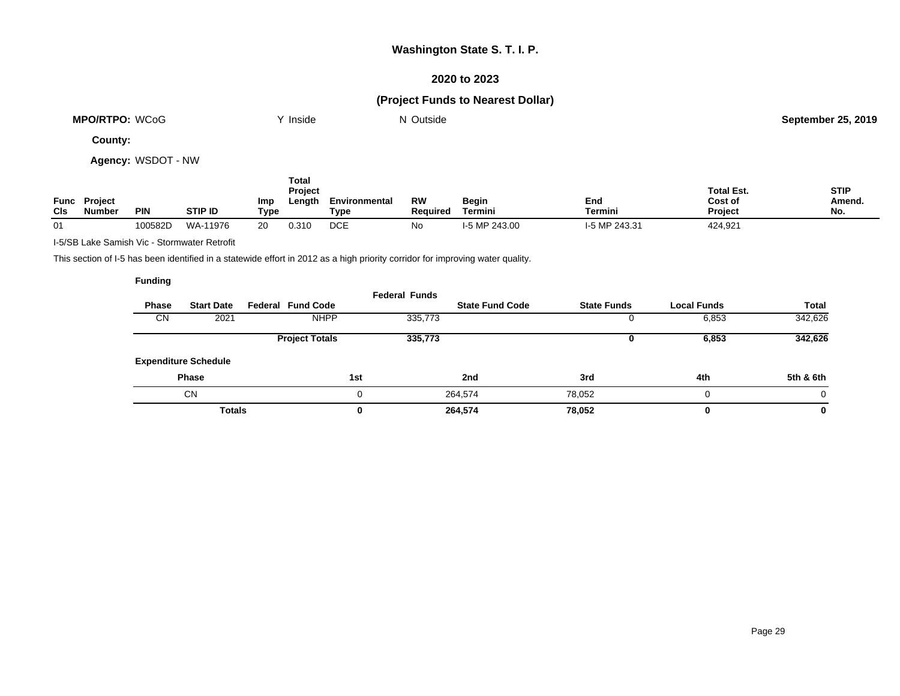### **2020 to 2023**

# **(Project Funds to Nearest Dollar)**

| <b>MPO/RTPO:</b><br>WCoG | <b>Inside</b> | Outside | 25.2019<br>September 25 |
|--------------------------|---------------|---------|-------------------------|
|                          |               |         |                         |

**County:**

**Agency:** WSDOT - NW

| <b>CIs</b> | <b>Func Project</b><br><b>Number</b> | <b>PIN</b> | <b>STIP ID</b> | Imp<br>Type | Total<br>Project<br>Length | Environmental<br>Type | <b>RW</b><br>Reauired | <b>Begin</b><br>Termini | End<br>Termini | <b>Total Est.</b><br>Cost of<br><b>Project</b> | <b>STIP</b><br>Amend.<br>No. |
|------------|--------------------------------------|------------|----------------|-------------|----------------------------|-----------------------|-----------------------|-------------------------|----------------|------------------------------------------------|------------------------------|
| 01         |                                      | 100582D    | WA-11976       | 20          | 0.310                      | <b>DCE</b>            | No                    | I-5 MP 243.00           | I-5 MP 243.31  | 424,921                                        |                              |

I-5/SB Lake Samish Vic - Stormwater Retrofit

This section of I-5 has been identified in a statewide effort in 2012 as a high priority corridor for improving water quality.

| Phase     | <b>Start Date</b>           | <b>Federal Fund Code</b> | <b>Federal Funds</b> | <b>State Fund Code</b> | <b>State Funds</b> | <b>Local Funds</b> | <b>Total</b> |
|-----------|-----------------------------|--------------------------|----------------------|------------------------|--------------------|--------------------|--------------|
| <b>CN</b> | 2021                        | <b>NHPP</b>              | 335,773              |                        |                    | 6,853              | 342,626      |
|           |                             | <b>Project Totals</b>    | 335,773              |                        |                    | 6,853              | 342,626      |
|           | <b>Expenditure Schedule</b> |                          |                      |                        |                    |                    |              |
|           | <b>Phase</b>                |                          | 1st                  | 2nd                    | 3rd                | 4th                | 5th & 6th    |
|           | <b>CN</b>                   |                          | 0                    | 264,574                | 78.052             | 0                  | 0            |
|           | <b>Totals</b>               |                          | 0                    | 264,574                | 78,052             | 0                  | 0            |
|           |                             |                          |                      |                        |                    |                    |              |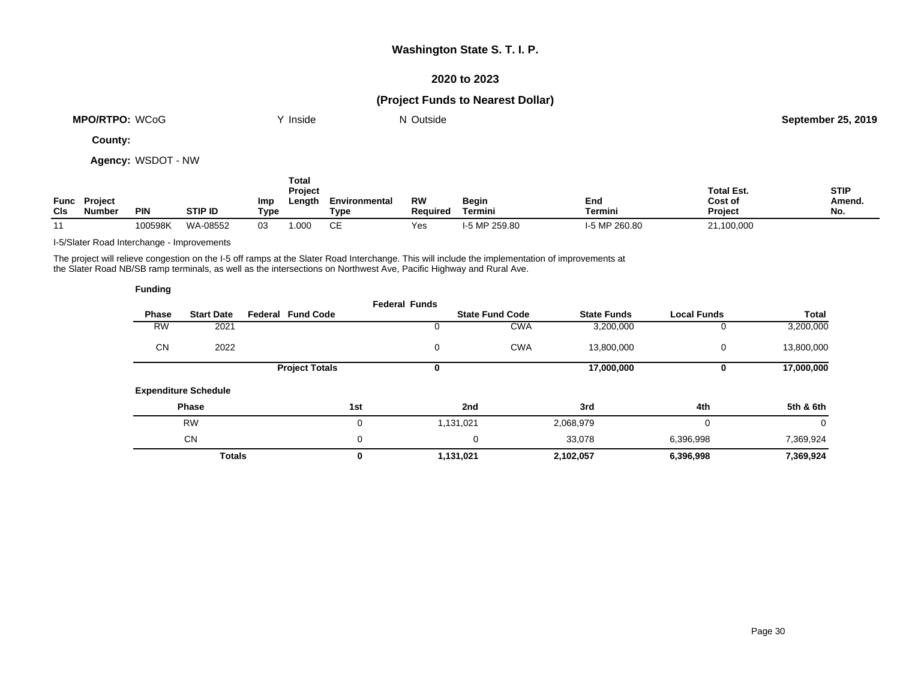### **2020 to 2023**

# **(Project Funds to Nearest Dollar)**

| WCoG<br><b>MPO/RTPO:</b> | <b>Inside</b> | Outside<br>N | 25, 2019<br>September 25. |
|--------------------------|---------------|--------------|---------------------------|
|                          |               |              |                           |

**County:**

**Agency:** WSDOT - NW

|            |                               |            |                |             | Total<br><b>Project</b> |                       |                              |                  |                       | <b>Total Est.</b>         | <b>STIP</b>   |
|------------|-------------------------------|------------|----------------|-------------|-------------------------|-----------------------|------------------------------|------------------|-----------------------|---------------------------|---------------|
| <b>CIs</b> | <b>Func Project</b><br>Number | <b>PIN</b> | <b>STIP ID</b> | Imp<br>Type | Length                  | Environmental<br>Type | <b>RW</b><br><b>Required</b> | Begin<br>Termini | End<br><b>Termini</b> | Cost of<br><b>Project</b> | Amend.<br>No. |
| 11         |                               | 100598K    | WA-08552       | 03          | .000                    | ∼⊏<br>◡∟              | Yes                          | I-5 MP 259.80    | I-5 MP 260.80         | 21,100,000                |               |

I-5/Slater Road Interchange - Improvements

The project will relieve congestion on the I-5 off ramps at the Slater Road Interchange. This will include the implementation of improvements at the Slater Road NB/SB ramp terminals, as well as the intersections on Northwest Ave, Pacific Highway and Rural Ave.

| <b>Funding</b> |                             |                          |                      |                        |                    |                    |              |
|----------------|-----------------------------|--------------------------|----------------------|------------------------|--------------------|--------------------|--------------|
| <b>Phase</b>   | <b>Start Date</b>           | <b>Federal Fund Code</b> | <b>Federal Funds</b> | <b>State Fund Code</b> | <b>State Funds</b> | <b>Local Funds</b> | <b>Total</b> |
| <b>RW</b>      | 2021                        |                          |                      | <b>CWA</b>             | 3,200,000          |                    | 3,200,000    |
| <b>CN</b>      | 2022                        |                          | 0                    | <b>CWA</b>             | 13,800,000         | 0                  | 13,800,000   |
|                |                             | <b>Project Totals</b>    | 0                    |                        | 17,000,000         | 0                  | 17,000,000   |
|                | <b>Expenditure Schedule</b> |                          |                      |                        |                    |                    |              |
|                | Phase                       | 1st                      |                      | 2nd                    | 3rd                | 4th                | 5th & 6th    |
|                | <b>RW</b>                   |                          | 0                    | 1,131,021              | 2,068,979          | 0                  | 0            |
|                | <b>CN</b>                   |                          | 0                    | 0                      | 33,078             | 6,396,998          | 7,369,924    |
|                | <b>Totals</b>               |                          | 0                    | 1,131,021              | 2,102,057          | 6,396,998          | 7,369,924    |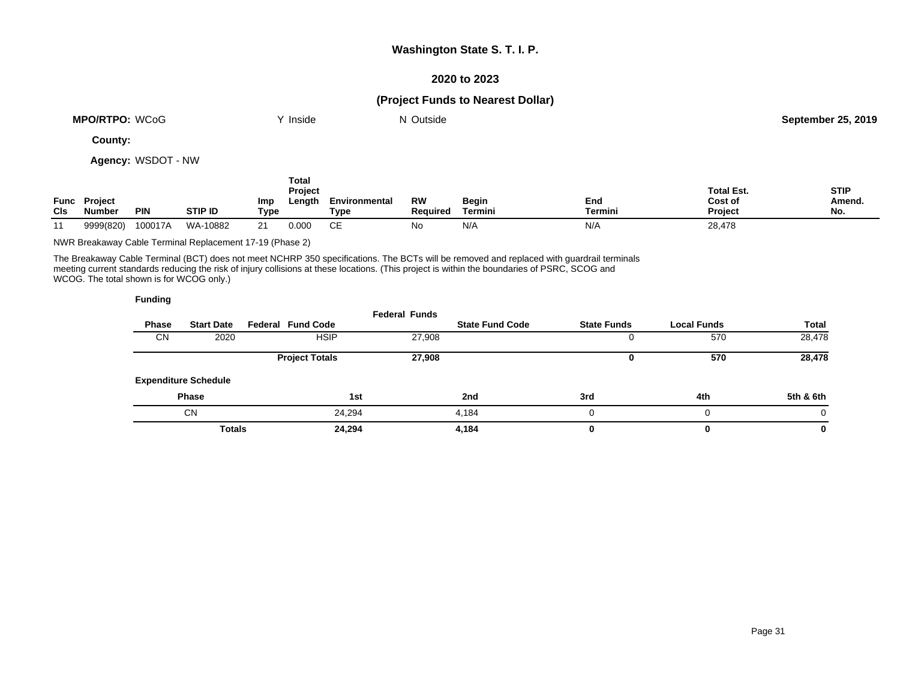### **2020 to 2023**

### **(Project Funds to Nearest Dollar)**

| <b>MPO/RTPO: WCoG</b> | Inside<br> | $\sim$<br>Outside<br>IN. | <b>September 25, 2019</b> |
|-----------------------|------------|--------------------------|---------------------------|
|                       |            |                          |                           |

**County:**

**Agency:** WSDOT - NW

| <b>CIs</b> | <b>Func</b> Project<br>Number | <b>PIN</b> | <b>STIP ID</b> | Imp<br>Type | Total<br>Project<br>Length | Environmental<br>Type | RW<br><b>Required</b> | Begin<br>Termini | End<br>Termini | <b>Total Est.</b><br>Cost of<br><b>Project</b> | <b>STIP</b><br>Amend.<br>No. |
|------------|-------------------------------|------------|----------------|-------------|----------------------------|-----------------------|-----------------------|------------------|----------------|------------------------------------------------|------------------------------|
| 11         | 9999(820)                     | 100017A    | WA-10882       | 21          | 0.000                      | CЕ                    | No                    | N/A              | N/A            | 28,478                                         |                              |

NWR Breakaway Cable Terminal Replacement 17-19 (Phase 2)

The Breakaway Cable Terminal (BCT) does not meet NCHRP 350 specifications. The BCTs will be removed and replaced with guardrail terminals meeting current standards reducing the risk of injury collisions at these locations. (This project is within the boundaries of PSRC, SCOG and WCOG. The total shown is for WCOG only.)

|           |                             |                          | <b>Federal Funds</b> |                        |                    |                    |           |
|-----------|-----------------------------|--------------------------|----------------------|------------------------|--------------------|--------------------|-----------|
| Phase     | <b>Start Date</b>           | <b>Federal Fund Code</b> |                      | <b>State Fund Code</b> | <b>State Funds</b> | <b>Local Funds</b> | Total     |
| <b>CN</b> | 2020                        | <b>HSIP</b>              | 27,908               |                        |                    | 570                | 28,478    |
|           |                             | <b>Project Totals</b>    | 27,908               |                        |                    | 570                | 28,478    |
|           | <b>Expenditure Schedule</b> |                          |                      |                        |                    |                    |           |
|           | <b>Phase</b>                |                          | 1st                  | 2nd                    | 3rd                | 4th                | 5th & 6th |
|           | <b>CN</b>                   | 24.294                   |                      | 4.184                  |                    | 0                  | $\Omega$  |
|           | <b>Totals</b>               | 24,294                   |                      | 4,184                  |                    | 0                  | 0         |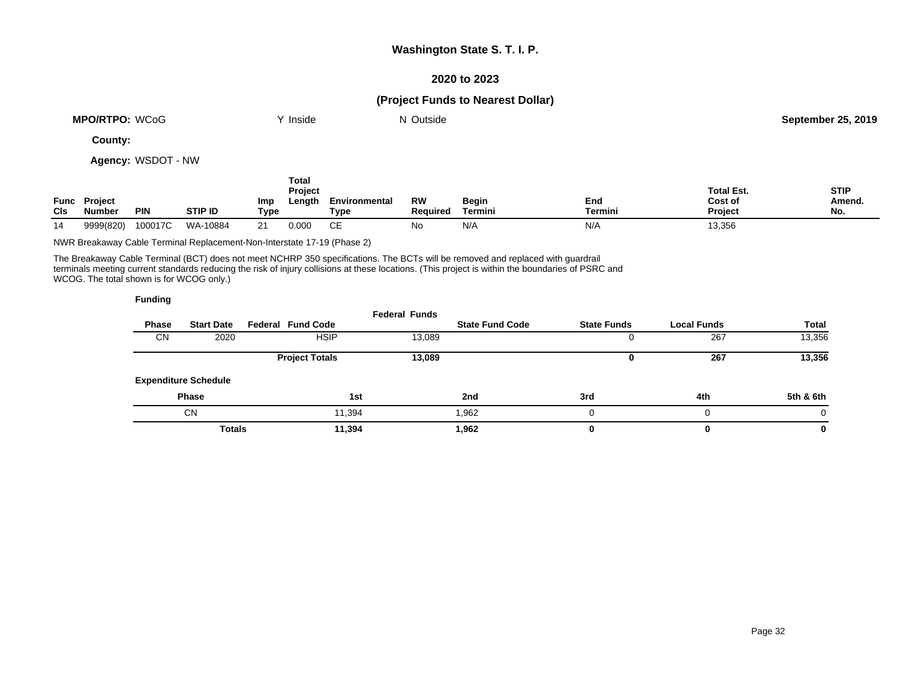### **2020 to 2023**

### **(Project Funds to Nearest Dollar)**

| <b>MPO/RTPO: WCoG</b> | Inside | Outside<br>IN. | September 25, 2019 |
|-----------------------|--------|----------------|--------------------|
|                       |        |                |                    |

**County:**

**Agency:** WSDOT - NW

| Func<br><b>CIs</b> | <b>Project</b><br>Number | <b>PIN</b> | <b>STIP ID</b> | Imp<br><b>Type</b> | Total<br>Project<br>Length | Environmental<br><b>Type</b> | RW<br><b>Required</b> | Begin<br><b>Termini</b> | End<br><b>Termini</b> | <b>Total Est.</b><br>Cost of<br><b>Project</b> | <b>STIP</b><br>Amend.<br>No. |
|--------------------|--------------------------|------------|----------------|--------------------|----------------------------|------------------------------|-----------------------|-------------------------|-----------------------|------------------------------------------------|------------------------------|
| 14                 | 9999(820)                | 100017C    | WA-10884       | 21                 | 0.000                      | ∼⊏<br>ᇆ                      | No                    | N/A                     | N/A                   | 13,356                                         |                              |

NWR Breakaway Cable Terminal Replacement-Non-Interstate 17-19 (Phase 2)

The Breakaway Cable Terminal (BCT) does not meet NCHRP 350 specifications. The BCTs will be removed and replaced with guardrail terminals meeting current standards reducing the risk of injury collisions at these locations. (This project is within the boundaries of PSRC and WCOG. The total shown is for WCOG only.)

|       |                             |                          | <b>Federal Funds</b> |                        |                    |                    |              |
|-------|-----------------------------|--------------------------|----------------------|------------------------|--------------------|--------------------|--------------|
| Phase | <b>Start Date</b>           | <b>Federal Fund Code</b> |                      | <b>State Fund Code</b> | <b>State Funds</b> | <b>Local Funds</b> | <b>Total</b> |
| CN    | 2020                        | <b>HSIP</b>              | 13,089               |                        |                    | 267                | 13,356       |
|       |                             | <b>Project Totals</b>    | 13,089               |                        |                    | 267                | 13,356       |
|       | <b>Expenditure Schedule</b> |                          |                      |                        |                    |                    |              |
|       | <b>Phase</b>                |                          | 1st                  | 2nd                    | 3rd                | 4th                | 5th & 6th    |
|       | <b>CN</b>                   |                          | 11,394               | 1.962                  |                    | $\Omega$           | 0            |
|       | <b>Totals</b>               |                          | 11,394               | 1,962                  |                    | 0                  | 0            |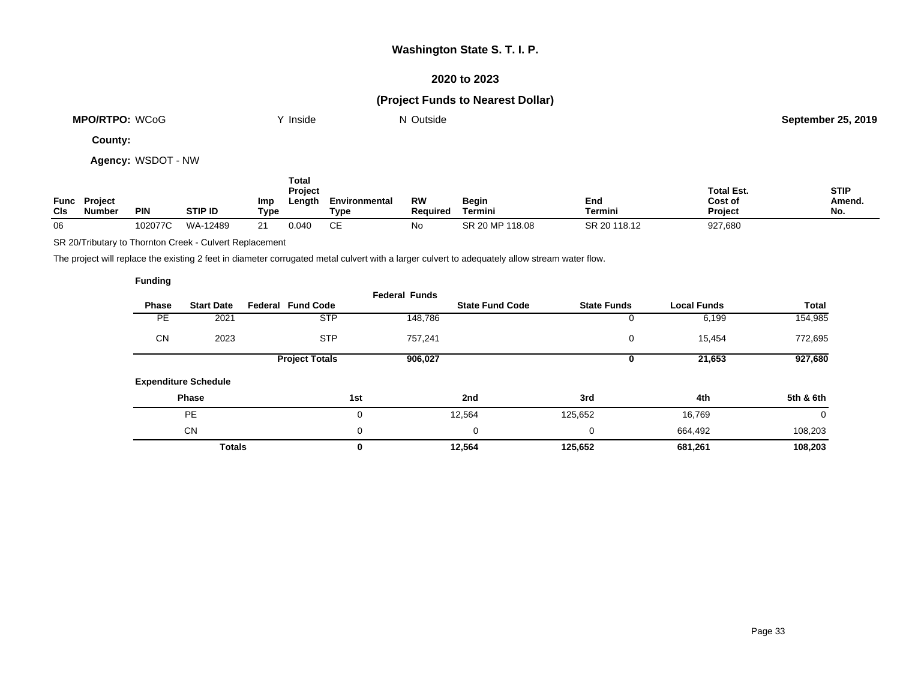### **2020 to 2023**

# **(Project Funds to Nearest Dollar)**

| <b>MPO/RTPO: WCoG</b> | Inside | ' Outside | September 25, 2019 |
|-----------------------|--------|-----------|--------------------|
|                       |        |           |                    |

**County:**

**Agency:** WSDOT - NW

| <b>CIs</b> | <b>Func Project</b><br><b>Number</b> | <b>PIN</b> | <b>STIP ID</b> | Imp<br>Type | Total<br><b>Project</b><br>Length | Environmental<br>Tvpe | <b>RW</b><br><b>Required</b> | Begin<br>Termini | End<br>Termini | <b>Total Est.</b><br>Cost of<br>Project | <b>STIP</b><br>Amend.<br>No. |
|------------|--------------------------------------|------------|----------------|-------------|-----------------------------------|-----------------------|------------------------------|------------------|----------------|-----------------------------------------|------------------------------|
| 06         |                                      | 102077C    | WA-12489       |             | 0.040                             | СE                    | No                           | SR 20 MP 118.08  | SR 20 118.12   | 927,680                                 |                              |

SR 20/Tributary to Thornton Creek - Culvert Replacement

The project will replace the existing 2 feet in diameter corrugated metal culvert with a larger culvert to adequately allow stream water flow.

|              |                             |                          | <b>Federal Funds</b> |                        |                    |                    |              |
|--------------|-----------------------------|--------------------------|----------------------|------------------------|--------------------|--------------------|--------------|
| <b>Phase</b> | <b>Start Date</b>           | <b>Federal Fund Code</b> |                      | <b>State Fund Code</b> | <b>State Funds</b> | <b>Local Funds</b> | <b>Total</b> |
| <b>PE</b>    | 2021                        | <b>STP</b>               | 148,786              |                        |                    | 6,199              | 154,985      |
| <b>CN</b>    | 2023                        | <b>STP</b>               | 757,241              |                        | 0                  | 15,454             | 772,695      |
|              |                             | <b>Project Totals</b>    | 906,027              |                        |                    | 21,653             | 927,680      |
|              | <b>Expenditure Schedule</b> |                          |                      |                        |                    |                    |              |
|              | <b>Phase</b>                |                          | 1st                  | 2nd                    | 3rd                | 4th                | 5th & 6th    |
|              | <b>PE</b>                   |                          | 0                    | 12,564                 | 125,652            | 16,769             | 0            |
|              | <b>CN</b>                   |                          | 0                    | 0                      | 0                  | 664,492            | 108,203      |
|              | <b>Totals</b>               |                          | 0                    | 12,564                 | 125,652            | 681,261            | 108,203      |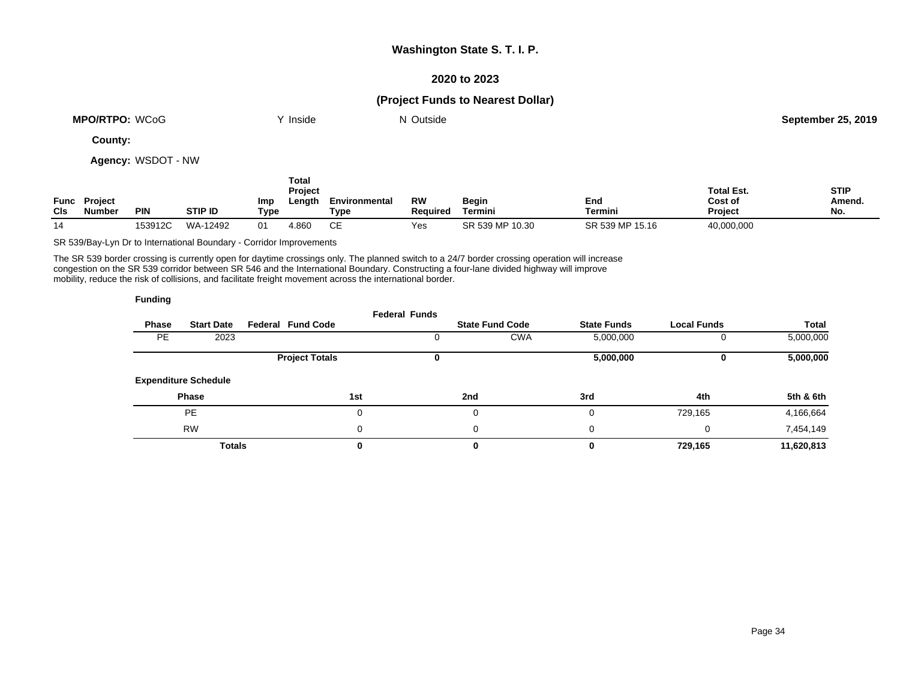### **2020 to 2023**

### **(Project Funds to Nearest Dollar)**

| <b>MPO/RTPO: WCoG</b> | <b>Inside</b> | Outside<br>NL | September 25, 2019 |
|-----------------------|---------------|---------------|--------------------|
|                       |               |               |                    |

**County:**

**Agency:** WSDOT - NW

| Func<br><b>CIs</b> | <b>Project</b><br>Number | <b>PIN</b> | <b>STIP ID</b> | Imp<br>Type | Total<br>Project<br>Lenath | Environmental<br>Type | RW<br><b>Required</b> | <b>Begin</b><br>Termini | End<br>Termini  | <b>Total Est.</b><br>Cost of<br><b>Project</b> | <b>STIP</b><br>Amend.<br>No. |
|--------------------|--------------------------|------------|----------------|-------------|----------------------------|-----------------------|-----------------------|-------------------------|-----------------|------------------------------------------------|------------------------------|
| 14                 |                          | 153912C    | WA-12492       | 01          | 4.860                      | СE                    | Yes                   | SR 539 MP 10.30         | SR 539 MP 15.16 | 40,000,000                                     |                              |

SR 539/Bay-Lyn Dr to International Boundary - Corridor Improvements

The SR 539 border crossing is currently open for daytime crossings only. The planned switch to a 24/7 border crossing operation will increase congestion on the SR 539 corridor between SR 546 and the International Boundary. Constructing a four-lane divided highway will improve mobility, reduce the risk of collisions, and facilitate freight movement across the international border.

|              |                             |                          | <b>Federal Funds</b> |     |                        |                    |                    |              |
|--------------|-----------------------------|--------------------------|----------------------|-----|------------------------|--------------------|--------------------|--------------|
| <b>Phase</b> | <b>Start Date</b>           | <b>Federal Fund Code</b> |                      |     | <b>State Fund Code</b> | <b>State Funds</b> | <b>Local Funds</b> | <b>Total</b> |
| <b>PE</b>    | 2023                        |                          |                      |     | <b>CWA</b>             | 5,000,000          |                    | 5,000,000    |
|              |                             | <b>Project Totals</b>    |                      |     |                        | 5,000,000          |                    | 5,000,000    |
|              | <b>Expenditure Schedule</b> |                          |                      |     |                        |                    |                    |              |
|              | <b>Phase</b>                |                          | 1st                  | 2nd |                        | 3rd                | 4th                | 5th & 6th    |
|              | <b>PE</b>                   |                          | 0                    |     | 0                      |                    | 729,165            | 4,166,664    |
|              | <b>RW</b>                   |                          | 0                    |     | 0                      | $\Omega$           | 0                  | 7,454,149    |
|              | <b>Totals</b>               |                          | 0                    |     | 0                      |                    | 729,165            | 11,620,813   |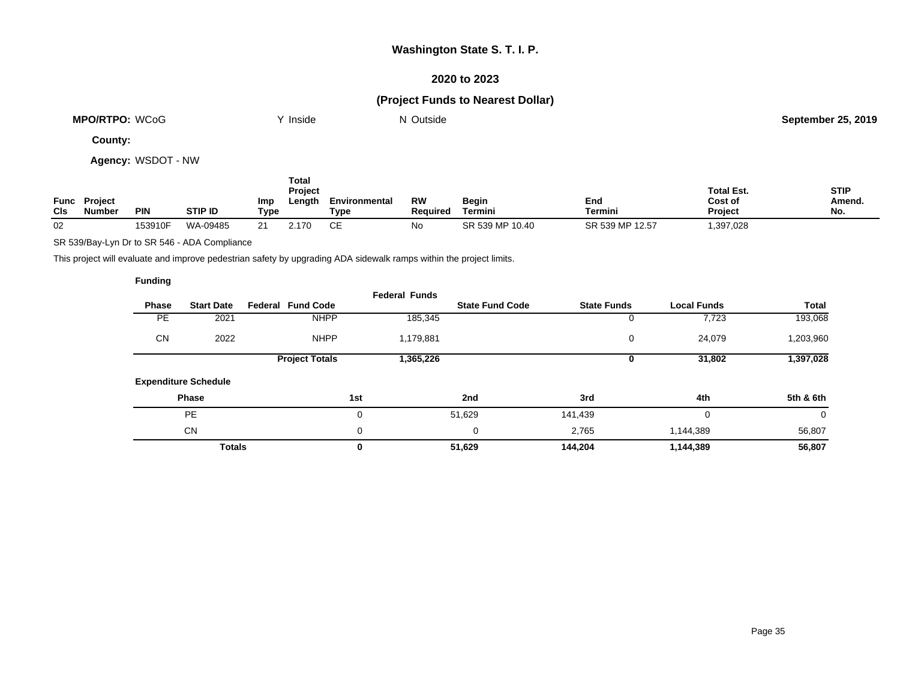### **2020 to 2023**

# **(Project Funds to Nearest Dollar)**

| <b>WCoG</b><br><b>MPO/RTPO:</b> | 'nside | Outside | September 25<br>25.2019 |
|---------------------------------|--------|---------|-------------------------|
|                                 |        |         |                         |

**County:**

**Agency:** WSDOT - NW

| Func<br>CIS | <b>Project</b><br><b>Number</b> | <b>PIN</b> | <b>STIP ID</b> | Imp<br>Type   | Total<br>Project<br>Length | Environmental<br>Type | RW<br><b>Required</b> | Begin<br>Termini | End<br><b>Termini</b> | <b>Total Est.</b><br>Cost of<br><b>Project</b> | <b>STIP</b><br>Amend.<br>No. |
|-------------|---------------------------------|------------|----------------|---------------|----------------------------|-----------------------|-----------------------|------------------|-----------------------|------------------------------------------------|------------------------------|
| 02          |                                 | 153910F    | WA-09485       | $\Omega$<br>ے | 2.170                      | ~~<br>ᇆ               | No                    | SR 539 MP 10.40  | SR 539 MP 12.57       | 397,028                                        |                              |

SR 539/Bay-Lyn Dr to SR 546 - ADA Compliance

This project will evaluate and improve pedestrian safety by upgrading ADA sidewalk ramps within the project limits.

|              |                             |                          | <b>Federal Funds</b> |                        |                    |                    |              |
|--------------|-----------------------------|--------------------------|----------------------|------------------------|--------------------|--------------------|--------------|
| <b>Phase</b> | <b>Start Date</b>           | <b>Federal Fund Code</b> |                      | <b>State Fund Code</b> | <b>State Funds</b> | <b>Local Funds</b> | <b>Total</b> |
| <b>PE</b>    | 2021                        | <b>NHPP</b>              | 185,345              |                        |                    | 7,723              | 193,068      |
| <b>CN</b>    | 2022                        | <b>NHPP</b>              | 1,179,881            |                        | 0                  | 24,079             | 1,203,960    |
|              |                             | <b>Project Totals</b>    | 1,365,226            |                        |                    | 31,802             | 1,397,028    |
|              | <b>Expenditure Schedule</b> |                          |                      |                        |                    |                    |              |
|              | <b>Phase</b>                |                          | 1st                  | 2nd                    | 3rd                | 4th                | 5th & 6th    |
|              | <b>PE</b>                   |                          | 0                    | 51,629                 | 141,439            | 0                  | 0            |
|              | <b>CN</b>                   |                          | 0                    | 0                      | 2,765              | 1,144,389          | 56,807       |
|              | <b>Totals</b>               |                          | 0                    | 51,629                 | 144,204            | 1,144,389          | 56,807       |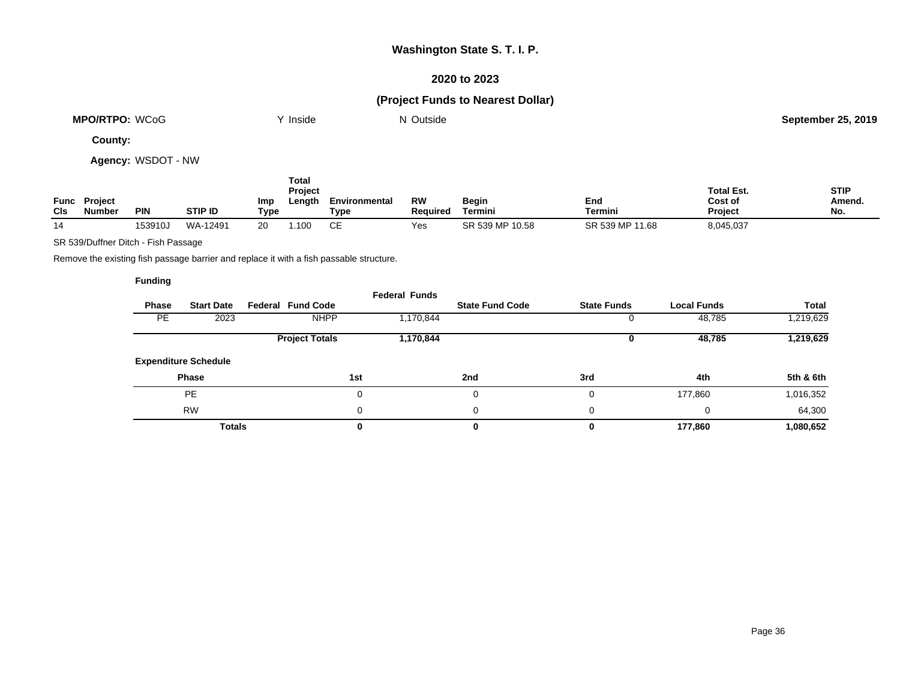### **2020 to 2023**

# **(Project Funds to Nearest Dollar)**

| WCoG<br><b>MPO/RTPO:</b> | Inside | Outside | September 25<br>25.2019 |
|--------------------------|--------|---------|-------------------------|
|                          |        |         |                         |

**County:**

**Agency:** WSDOT - NW

| Func<br>CIS | Project<br><b>Number</b> | <b>PIN</b> | <b>STIP ID</b> | Imp<br>Type | Total<br>Project<br>Length | Environmental<br>Type | <b>RW</b><br>Reauired | <b>Begin</b><br>Termini | End<br>Termini  | <b>Total Est.</b><br>Cost of<br><b>Project</b> | <b>STIP</b><br>Amend.<br>No. |
|-------------|--------------------------|------------|----------------|-------------|----------------------------|-----------------------|-----------------------|-------------------------|-----------------|------------------------------------------------|------------------------------|
| 14          |                          | 153910J    | WA-12491       | 20          | .100                       | CЕ                    | Yes                   | SR 539 MP 10.58         | SR 539 MP 11.68 | 8,045,037                                      |                              |

SR 539/Duffner Ditch - Fish Passage

Remove the existing fish passage barrier and replace it with a fish passable structure.

| <b>Phase</b> | <b>Start Date</b>           | <b>Federal Fund Code</b> | <b>Federal Funds</b> | <b>State Fund Code</b> | <b>State Funds</b> | <b>Local Funds</b> | <b>Total</b> |
|--------------|-----------------------------|--------------------------|----------------------|------------------------|--------------------|--------------------|--------------|
| <b>PE</b>    | 2023                        | <b>NHPP</b>              | 1,170,844            |                        |                    | 48,785             | 1,219,629    |
|              |                             | <b>Project Totals</b>    | 1,170,844            |                        |                    | 48,785             | 1,219,629    |
|              | <b>Expenditure Schedule</b> |                          |                      |                        |                    |                    |              |
|              | <b>Phase</b>                |                          | 1st                  | 2nd                    | 3rd                | 4th                | 5th & 6th    |
|              | PE                          |                          | 0                    | 0                      |                    | 177,860            | 1,016,352    |
|              | <b>RW</b>                   |                          | 0                    | 0                      | 0                  | 0                  | 64,300       |
|              | <b>Totals</b>               |                          | 0                    | 0                      |                    | 177,860            | 1,080,652    |
|              |                             |                          |                      |                        |                    |                    |              |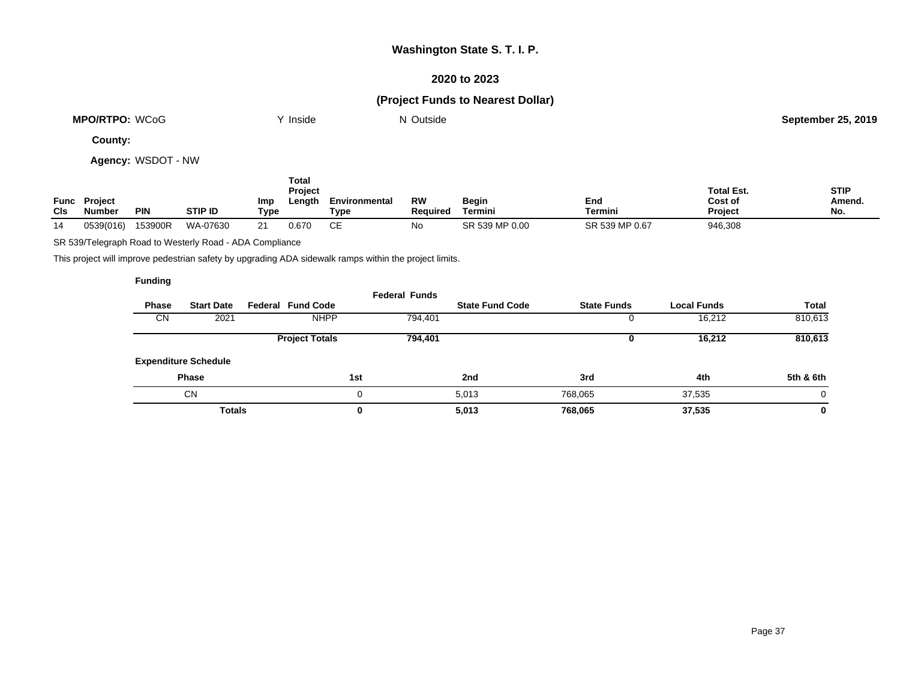### **2020 to 2023**

# **(Project Funds to Nearest Dollar)**

| <b>MPO/RTPO:</b><br><b>WCoG</b> | Inside | Outside<br>IM. | September 25<br>25.2019 |
|---------------------------------|--------|----------------|-------------------------|
|                                 |        |                |                         |

**County:**

**Agency:** WSDOT - NW

| Func<br><b>CIs</b> | <b>Project</b><br>Number | <b>PIN</b> | <b>STIP ID</b> | Imp<br>Type | Total<br><b>Project</b><br>∟ength | Environmental<br>Type | RW<br>Reauired | Begin<br>Termini | End<br>Termini | <b>Total Est.</b><br>Cost of<br><b>Project</b> | <b>STIP</b><br>Amend.<br>No. |
|--------------------|--------------------------|------------|----------------|-------------|-----------------------------------|-----------------------|----------------|------------------|----------------|------------------------------------------------|------------------------------|
| 14                 | 0539(016)                | 153900R    | WA-07630       |             | 0.670                             | СE                    | No             | SR 539 MP 0.00   | SR 539 MP 0.67 | 946,308                                        |                              |

SR 539/Telegraph Road to Westerly Road - ADA Compliance

This project will improve pedestrian safety by upgrading ADA sidewalk ramps within the project limits.

|           |                             |                          | <b>Federal Funds</b> |                        |                    |                    |           |
|-----------|-----------------------------|--------------------------|----------------------|------------------------|--------------------|--------------------|-----------|
| Phase     | <b>Start Date</b>           | <b>Federal Fund Code</b> |                      | <b>State Fund Code</b> | <b>State Funds</b> | <b>Local Funds</b> | Total     |
| <b>CN</b> | 2021                        | <b>NHPP</b>              | 794,401              |                        | υ                  | 16,212             | 810,613   |
|           |                             | <b>Project Totals</b>    | 794,401              |                        | υ                  | 16,212             | 810,613   |
|           | <b>Expenditure Schedule</b> |                          |                      |                        |                    |                    |           |
|           | <b>Phase</b>                |                          | 1st                  | 2nd                    | 3rd                | 4th                | 5th & 6th |
|           | <b>CN</b>                   |                          | 0                    | 5,013                  | 768.065            | 37,535             | 0         |
|           | <b>Totals</b>               |                          | 0                    | 5,013                  | 768,065            | 37,535             | 0         |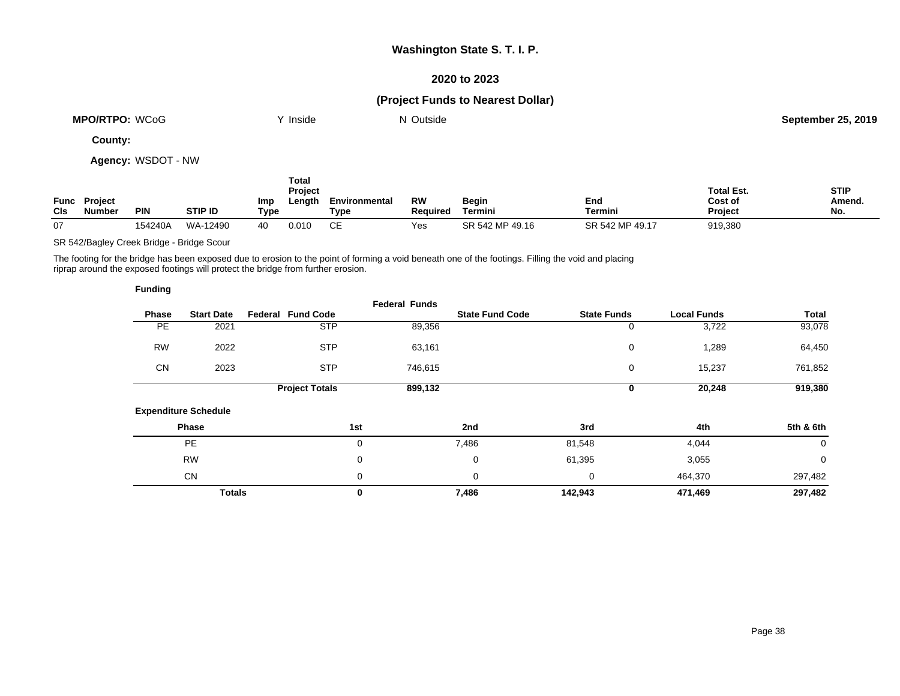### **2020 to 2023**

# **(Project Funds to Nearest Dollar)**

| <b>MPO/RTPO:</b><br><b>WCoC</b> | Inside | Outside<br>w | September 25<br>25.2019 |
|---------------------------------|--------|--------------|-------------------------|
|                                 |        |              |                         |

**County:**

**Agency:** WSDOT - NW

| Func<br><b>CIs</b> | <b>Project</b><br>Number | <b>PIN</b> | <b>STIP ID</b> | Imp<br>Type | Total<br>Project<br>Length | Environmental<br>Type | <b>RW</b><br><b>Required</b> | Begin<br>Termini | End<br>Termini  | <b>Total Est.</b><br>Cost of<br><b>Project</b> | <b>STIP</b><br>Amend.<br>No. |
|--------------------|--------------------------|------------|----------------|-------------|----------------------------|-----------------------|------------------------------|------------------|-----------------|------------------------------------------------|------------------------------|
| 07                 |                          | 154240A    | WA-12490       | 40          | 0.010                      | CЕ                    | Yes                          | SR 542 MP 49.16  | SR 542 MP 49.17 | 919,380                                        |                              |

SR 542/Bagley Creek Bridge - Bridge Scour

The footing for the bridge has been exposed due to erosion to the point of forming a void beneath one of the footings. Filling the void and placing riprap around the exposed footings will protect the bridge from further erosion.

| <b>Funding</b> |                             |                          |                      |                        |         |                    |                    |             |
|----------------|-----------------------------|--------------------------|----------------------|------------------------|---------|--------------------|--------------------|-------------|
| Phase          | <b>Start Date</b>           | <b>Federal Fund Code</b> | <b>Federal Funds</b> | <b>State Fund Code</b> |         | <b>State Funds</b> | <b>Local Funds</b> | Total       |
| PE             | 2021                        | <b>STP</b>               |                      | 89,356                 |         | 0                  | 3,722              | 93,078      |
| <b>RW</b>      | 2022                        | <b>STP</b>               |                      | 63,161                 |         | 0                  | 1,289              | 64,450      |
| <b>CN</b>      | 2023                        | <b>STP</b>               |                      | 746,615                |         | 0                  | 15,237             | 761,852     |
|                |                             | <b>Project Totals</b>    |                      | 899,132                |         | 0                  | 20,248             | 919,380     |
|                | <b>Expenditure Schedule</b> |                          |                      |                        |         |                    |                    |             |
|                | Phase                       |                          | 1st                  | 2nd                    | 3rd     |                    | 4th                | 5th & 6th   |
|                | <b>PE</b>                   |                          | 0                    | 7,486                  | 81,548  |                    | 4,044              | $\mathbf 0$ |
|                | <b>RW</b>                   |                          | 0                    | 0                      | 61,395  |                    | 3,055              | $\mathbf 0$ |
|                | <b>CN</b>                   |                          | 0                    | 0                      | 0       |                    | 464,370            | 297,482     |
|                | <b>Totals</b>               |                          | 0                    | 7,486                  | 142,943 |                    | 471,469            | 297,482     |